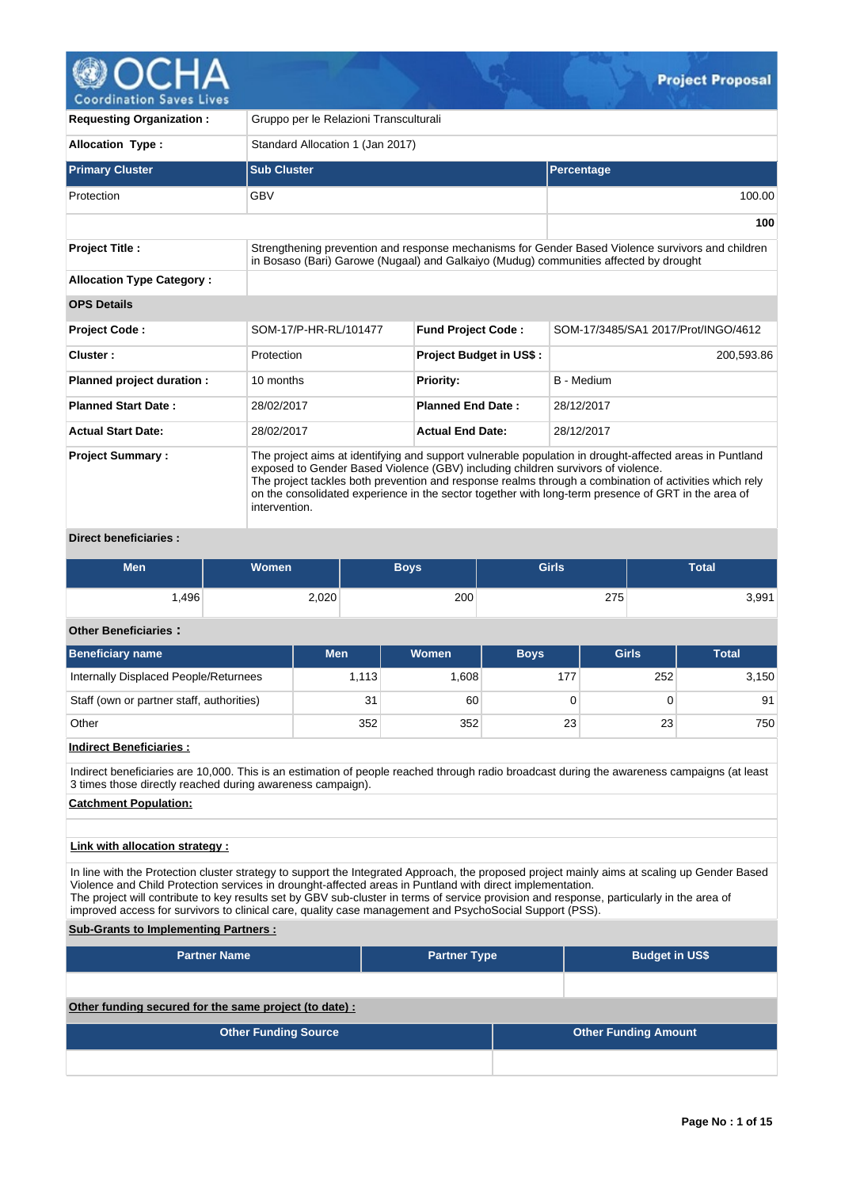

**Coordination Saves Lives** 

| <b>Requesting Organization:</b>                                                                                                                                                                                                                                                                                                                                                                                                                          | Gruppo per le Relazioni Transculturali                                                                                                                                                     |                                |                                     |  |  |  |  |  |  |
|----------------------------------------------------------------------------------------------------------------------------------------------------------------------------------------------------------------------------------------------------------------------------------------------------------------------------------------------------------------------------------------------------------------------------------------------------------|--------------------------------------------------------------------------------------------------------------------------------------------------------------------------------------------|--------------------------------|-------------------------------------|--|--|--|--|--|--|
| <b>Allocation Type:</b>                                                                                                                                                                                                                                                                                                                                                                                                                                  | Standard Allocation 1 (Jan 2017)                                                                                                                                                           |                                |                                     |  |  |  |  |  |  |
| <b>Primary Cluster</b>                                                                                                                                                                                                                                                                                                                                                                                                                                   | <b>Sub Cluster</b>                                                                                                                                                                         |                                | <b>Percentage</b>                   |  |  |  |  |  |  |
| Protection                                                                                                                                                                                                                                                                                                                                                                                                                                               | <b>GBV</b>                                                                                                                                                                                 |                                | 100.00                              |  |  |  |  |  |  |
|                                                                                                                                                                                                                                                                                                                                                                                                                                                          |                                                                                                                                                                                            |                                | 100                                 |  |  |  |  |  |  |
| <b>Project Title:</b>                                                                                                                                                                                                                                                                                                                                                                                                                                    | Strengthening prevention and response mechanisms for Gender Based Violence survivors and children<br>in Bosaso (Bari) Garowe (Nugaal) and Galkaiyo (Mudug) communities affected by drought |                                |                                     |  |  |  |  |  |  |
| <b>Allocation Type Category:</b>                                                                                                                                                                                                                                                                                                                                                                                                                         |                                                                                                                                                                                            |                                |                                     |  |  |  |  |  |  |
| <b>OPS Details</b>                                                                                                                                                                                                                                                                                                                                                                                                                                       |                                                                                                                                                                                            |                                |                                     |  |  |  |  |  |  |
| Project Code:                                                                                                                                                                                                                                                                                                                                                                                                                                            | SOM-17/P-HR-RL/101477                                                                                                                                                                      | <b>Fund Project Code:</b>      | SOM-17/3485/SA1 2017/Prot/INGO/4612 |  |  |  |  |  |  |
| Cluster:                                                                                                                                                                                                                                                                                                                                                                                                                                                 | Protection                                                                                                                                                                                 | <b>Project Budget in US\$:</b> | 200,593.86                          |  |  |  |  |  |  |
| Planned project duration :                                                                                                                                                                                                                                                                                                                                                                                                                               | 10 months                                                                                                                                                                                  | <b>Priority:</b>               | <b>B</b> - Medium                   |  |  |  |  |  |  |
| <b>Planned Start Date:</b>                                                                                                                                                                                                                                                                                                                                                                                                                               | 28/02/2017                                                                                                                                                                                 | <b>Planned End Date:</b>       | 28/12/2017                          |  |  |  |  |  |  |
| <b>Actual Start Date:</b>                                                                                                                                                                                                                                                                                                                                                                                                                                | 28/02/2017                                                                                                                                                                                 | <b>Actual End Date:</b>        | 28/12/2017                          |  |  |  |  |  |  |
| <b>Project Summary:</b><br>The project aims at identifying and support vulnerable population in drought-affected areas in Puntland<br>exposed to Gender Based Violence (GBV) including children survivors of violence.<br>The project tackles both prevention and response realms through a combination of activities which rely<br>on the consolidated experience in the sector together with long-term presence of GRT in the area of<br>intervention. |                                                                                                                                                                                            |                                |                                     |  |  |  |  |  |  |

# **Direct beneficiaries :**

| Men  | Women | Boys, | <b>Girls</b> | <b>Total</b> |
|------|-------|-------|--------------|--------------|
| .496 | 2,020 | 200   | 275          | 3,991        |

# **Other Beneficiaries :**

| <b>Beneficiary name</b>                   | <b>Men</b> | <b>Women</b> | <b>Boys</b> | <b>Girls</b> | <b>Total</b> |
|-------------------------------------------|------------|--------------|-------------|--------------|--------------|
| Internally Displaced People/Returnees     | 1,113      | .608         | 177         | 252          | 3,150        |
| Staff (own or partner staff, authorities) | 31         | 60           |             |              | 91           |
| Other                                     | 352        | 352          | 23          | 23           | 750          |

# **Indirect Beneficiaries :**

Indirect beneficiaries are 10,000. This is an estimation of people reached through radio broadcast during the awareness campaigns (at least 3 times those directly reached during awareness campaign).

# **Catchment Population:**

# **Link with allocation strategy :**

In line with the Protection cluster strategy to support the Integrated Approach, the proposed project mainly aims at scaling up Gender Based Violence and Child Protection services in drounght-affected areas in Puntland with direct implementation. The project will contribute to key results set by GBV sub-cluster in terms of service provision and response, particularly in the area of improved access for survivors to clinical care, quality case management and PsychoSocial Support (PSS).

## **Sub-Grants to Implementing Partners :**

| <b>Partner Name</b>                                   | <b>Partner Type</b> |  | <b>Budget in US\$</b>       |
|-------------------------------------------------------|---------------------|--|-----------------------------|
|                                                       |                     |  |                             |
| Other funding secured for the same project (to date): |                     |  |                             |
| <b>Other Funding Source</b>                           |                     |  | <b>Other Funding Amount</b> |
|                                                       |                     |  |                             |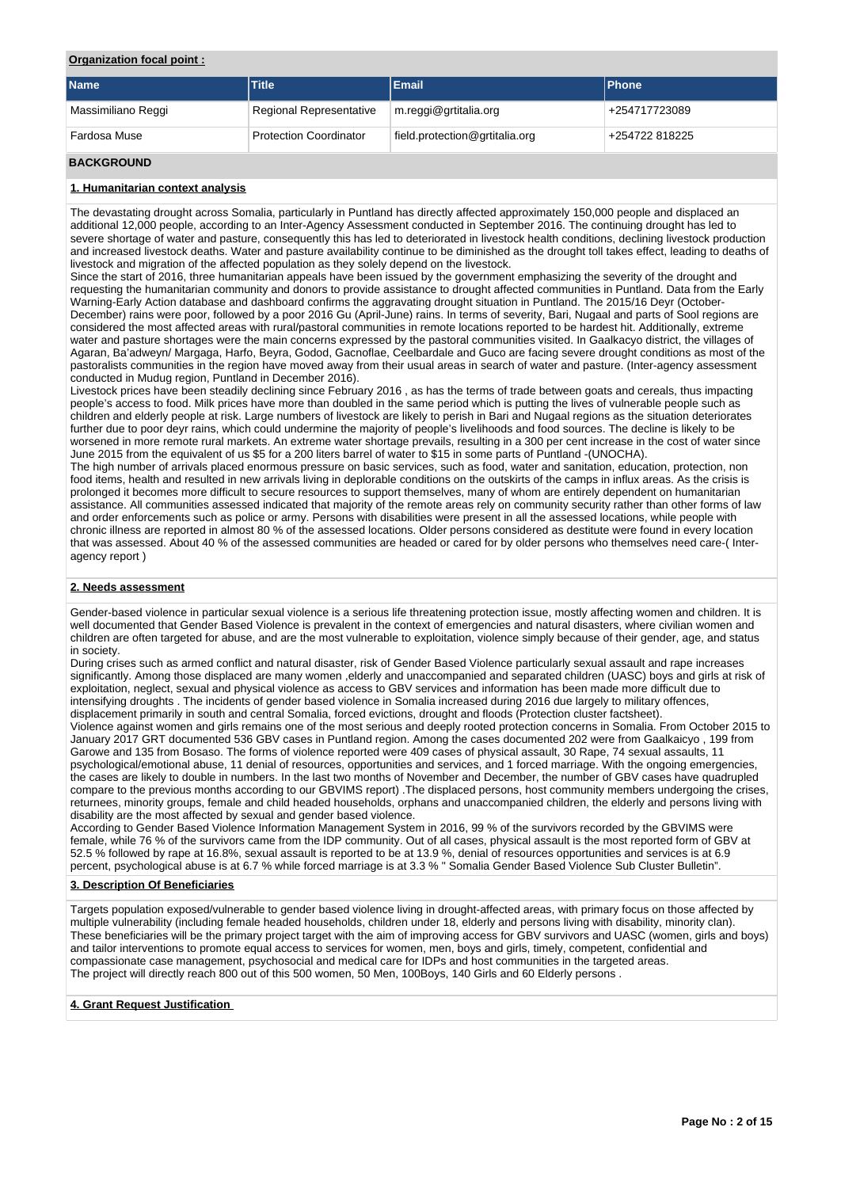# **Organization focal point :**

| <b>Name</b>        | Title                          | Email                          | <b>Phone</b>   |
|--------------------|--------------------------------|--------------------------------|----------------|
| Massimiliano Reggi | <b>Regional Representative</b> | m.reggi@grtitalia.org          | +254717723089  |
| Fardosa Muse       | <b>Protection Coordinator</b>  | field.protection@grtitalia.org | +254722 818225 |
| <b>BACKGROUND</b>  |                                |                                |                |

# **1. Humanitarian context analysis**

The devastating drought across Somalia, particularly in Puntland has directly affected approximately 150,000 people and displaced an additional 12,000 people, according to an Inter-Agency Assessment conducted in September 2016. The continuing drought has led to severe shortage of water and pasture, consequently this has led to deteriorated in livestock health conditions, declining livestock production and increased livestock deaths. Water and pasture availability continue to be diminished as the drought toll takes effect, leading to deaths of livestock and migration of the affected population as they solely depend on the livestock.

Since the start of 2016, three humanitarian appeals have been issued by the government emphasizing the severity of the drought and requesting the humanitarian community and donors to provide assistance to drought affected communities in Puntland. Data from the Early Warning-Early Action database and dashboard confirms the aggravating drought situation in Puntland. The 2015/16 Deyr (October-December) rains were poor, followed by a poor 2016 Gu (April-June) rains. In terms of severity, Bari, Nugaal and parts of Sool regions are considered the most affected areas with rural/pastoral communities in remote locations reported to be hardest hit. Additionally, extreme water and pasture shortages were the main concerns expressed by the pastoral communities visited. In Gaalkacyo district, the villages of Agaran, Ba'adweyn/ Margaga, Harfo, Beyra, Godod, Gacnoflae, Ceelbardale and Guco are facing severe drought conditions as most of the pastoralists communities in the region have moved away from their usual areas in search of water and pasture. (Inter-agency assessment conducted in Mudug region, Puntland in December 2016).

Livestock prices have been steadily declining since February 2016 , as has the terms of trade between goats and cereals, thus impacting people's access to food. Milk prices have more than doubled in the same period which is putting the lives of vulnerable people such as children and elderly people at risk. Large numbers of livestock are likely to perish in Bari and Nugaal regions as the situation deteriorates further due to poor deyr rains, which could undermine the majority of people's livelihoods and food sources. The decline is likely to be worsened in more remote rural markets. An extreme water shortage prevails, resulting in a 300 per cent increase in the cost of water since June 2015 from the equivalent of us \$5 for a 200 liters barrel of water to \$15 in some parts of Puntland -(UNOCHA).

The high number of arrivals placed enormous pressure on basic services, such as food, water and sanitation, education, protection, non food items, health and resulted in new arrivals living in deplorable conditions on the outskirts of the camps in influx areas. As the crisis is prolonged it becomes more difficult to secure resources to support themselves, many of whom are entirely dependent on humanitarian assistance. All communities assessed indicated that majority of the remote areas rely on community security rather than other forms of law and order enforcements such as police or army. Persons with disabilities were present in all the assessed locations, while people with chronic illness are reported in almost 80 % of the assessed locations. Older persons considered as destitute were found in every location that was assessed. About 40 % of the assessed communities are headed or cared for by older persons who themselves need care-( Interagency report )

#### **2. Needs assessment**

Gender-based violence in particular sexual violence is a serious life threatening protection issue, mostly affecting women and children. It is well documented that Gender Based Violence is prevalent in the context of emergencies and natural disasters, where civilian women and children are often targeted for abuse, and are the most vulnerable to exploitation, violence simply because of their gender, age, and status in society.

During crises such as armed conflict and natural disaster, risk of Gender Based Violence particularly sexual assault and rape increases significantly. Among those displaced are many women ,elderly and unaccompanied and separated children (UASC) boys and girls at risk of exploitation, neglect, sexual and physical violence as access to GBV services and information has been made more difficult due to intensifying droughts . The incidents of gender based violence in Somalia increased during 2016 due largely to military offences, displacement primarily in south and central Somalia, forced evictions, drought and floods (Protection cluster factsheet).

Violence against women and girls remains one of the most serious and deeply rooted protection concerns in Somalia. From October 2015 to January 2017 GRT documented 536 GBV cases in Puntland region. Among the cases documented 202 were from Gaalkaicyo , 199 from Garowe and 135 from Bosaso. The forms of violence reported were 409 cases of physical assault, 30 Rape, 74 sexual assaults, 11 psychological/emotional abuse, 11 denial of resources, opportunities and services, and 1 forced marriage. With the ongoing emergencies, the cases are likely to double in numbers. In the last two months of November and December, the number of GBV cases have quadrupled compare to the previous months according to our GBVIMS report) .The displaced persons, host community members undergoing the crises, returnees, minority groups, female and child headed households, orphans and unaccompanied children, the elderly and persons living with disability are the most affected by sexual and gender based violence.

According to Gender Based Violence Information Management System in 2016, 99 % of the survivors recorded by the GBVIMS were female, while 76 % of the survivors came from the IDP community. Out of all cases, physical assault is the most reported form of GBV at 52.5 % followed by rape at 16.8%, sexual assault is reported to be at 13.9 %, denial of resources opportunities and services is at 6.9 percent, psychological abuse is at 6.7 % while forced marriage is at 3.3 % " Somalia Gender Based Violence Sub Cluster Bulletin".

## **3. Description Of Beneficiaries**

Targets population exposed/vulnerable to gender based violence living in drought-affected areas, with primary focus on those affected by multiple vulnerability (including female headed households, children under 18, elderly and persons living with disability, minority clan). These beneficiaries will be the primary project target with the aim of improving access for GBV survivors and UASC (women, girls and boys) and tailor interventions to promote equal access to services for women, men, boys and girls, timely, competent, confidential and compassionate case management, psychosocial and medical care for IDPs and host communities in the targeted areas. The project will directly reach 800 out of this 500 women, 50 Men, 100Boys, 140 Girls and 60 Elderly persons .

#### **4. Grant Request Justification**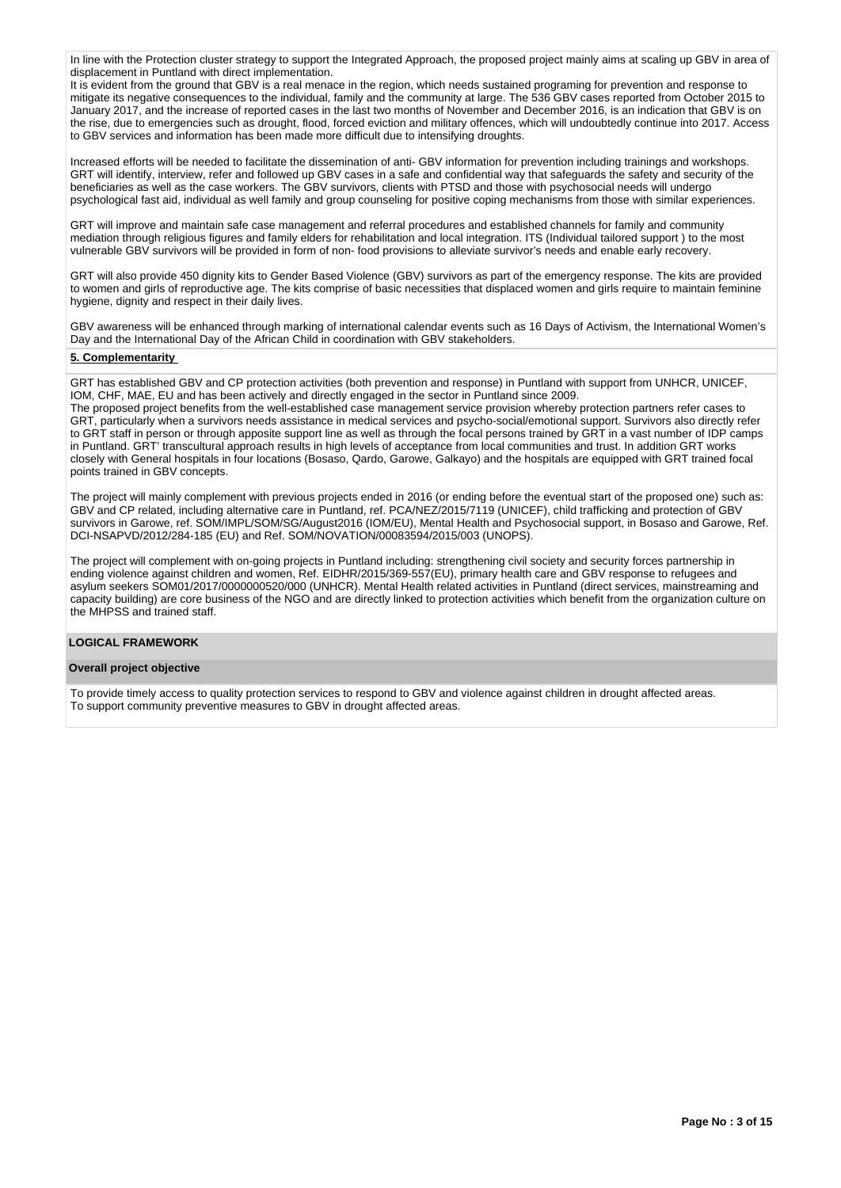In line with the Protection cluster strategy to support the Integrated Approach, the proposed project mainly aims at scaling up GBV in area of displacement in Puntland with direct implementation.

It is evident from the ground that GBV is a real menace in the region, which needs sustained programing for prevention and response to mitigate its negative consequences to the individual, family and the community at large. The 536 GBV cases reported from October 2015 to January 2017, and the increase of reported cases in the last two months of November and December 2016, is an indication that GBV is on the rise, due to emergencies such as drought, flood, forced eviction and military offences, which will undoubtedly continue into 2017. Access to GBV services and information has been made more difficult due to intensifying droughts.

Increased efforts will be needed to facilitate the dissemination of anti- GBV information for prevention including trainings and workshops. GRT will identify, interview, refer and followed up GBV cases in a safe and confidential way that safeguards the safety and security of the beneficiaries as well as the case workers. The GBV survivors, clients with PTSD and those with psychosocial needs will undergo psychological fast aid, individual as well family and group counseling for positive coping mechanisms from those with similar experiences.

GRT will improve and maintain safe case management and referral procedures and established channels for family and community mediation through religious figures and family elders for rehabilitation and local integration. ITS (Individual tailored support ) to the most vulnerable GBV survivors will be provided in form of non- food provisions to alleviate survivor's needs and enable early recovery.

GRT will also provide 450 dignity kits to Gender Based Violence (GBV) survivors as part of the emergency response. The kits are provided to women and girls of reproductive age. The kits comprise of basic necessities that displaced women and girls require to maintain feminine hygiene, dignity and respect in their daily lives.

GBV awareness will be enhanced through marking of international calendar events such as 16 Days of Activism, the International Women's Day and the International Day of the African Child in coordination with GBV stakeholders.

#### **5. Complementarity**

GRT has established GBV and CP protection activities (both prevention and response) in Puntland with support from UNHCR, UNICEF, IOM, CHF, MAE, EU and has been actively and directly engaged in the sector in Puntland since 2009.

The proposed project benefits from the well-established case management service provision whereby protection partners refer cases to GRT, particularly when a survivors needs assistance in medical services and psycho-social/emotional support. Survivors also directly refer to GRT staff in person or through apposite support line as well as through the focal persons trained by GRT in a vast number of IDP camps in Puntland. GRT' transcultural approach results in high levels of acceptance from local communities and trust. In addition GRT works closely with General hospitals in four locations (Bosaso, Qardo, Garowe, Galkayo) and the hospitals are equipped with GRT trained focal points trained in GBV concepts.

The project will mainly complement with previous projects ended in 2016 (or ending before the eventual start of the proposed one) such as: GBV and CP related, including alternative care in Puntland, ref. PCA/NEZ/2015/7119 (UNICEF), child trafficking and protection of GBV survivors in Garowe, ref. SOM/IMPL/SOM/SG/August2016 (IOM/EU), Mental Health and Psychosocial support, in Bosaso and Garowe, Ref. DCI-NSAPVD/2012/284-185 (EU) and Ref. SOM/NOVATION/00083594/2015/003 (UNOPS).

The project will complement with on-going projects in Puntland including: strengthening civil society and security forces partnership in ending violence against children and women, Ref. EIDHR/2015/369-557(EU), primary health care and GBV response to refugees and asylum seekers SOM01/2017/0000000520/000 (UNHCR). Mental Health related activities in Puntland (direct services, mainstreaming and capacity building) are core business of the NGO and are directly linked to protection activities which benefit from the organization culture on the MHPSS and trained staff.

# **LOGICAL FRAMEWORK**

#### **Overall project objective**

To provide timely access to quality protection services to respond to GBV and violence against children in drought affected areas. To support community preventive measures to GBV in drought affected areas.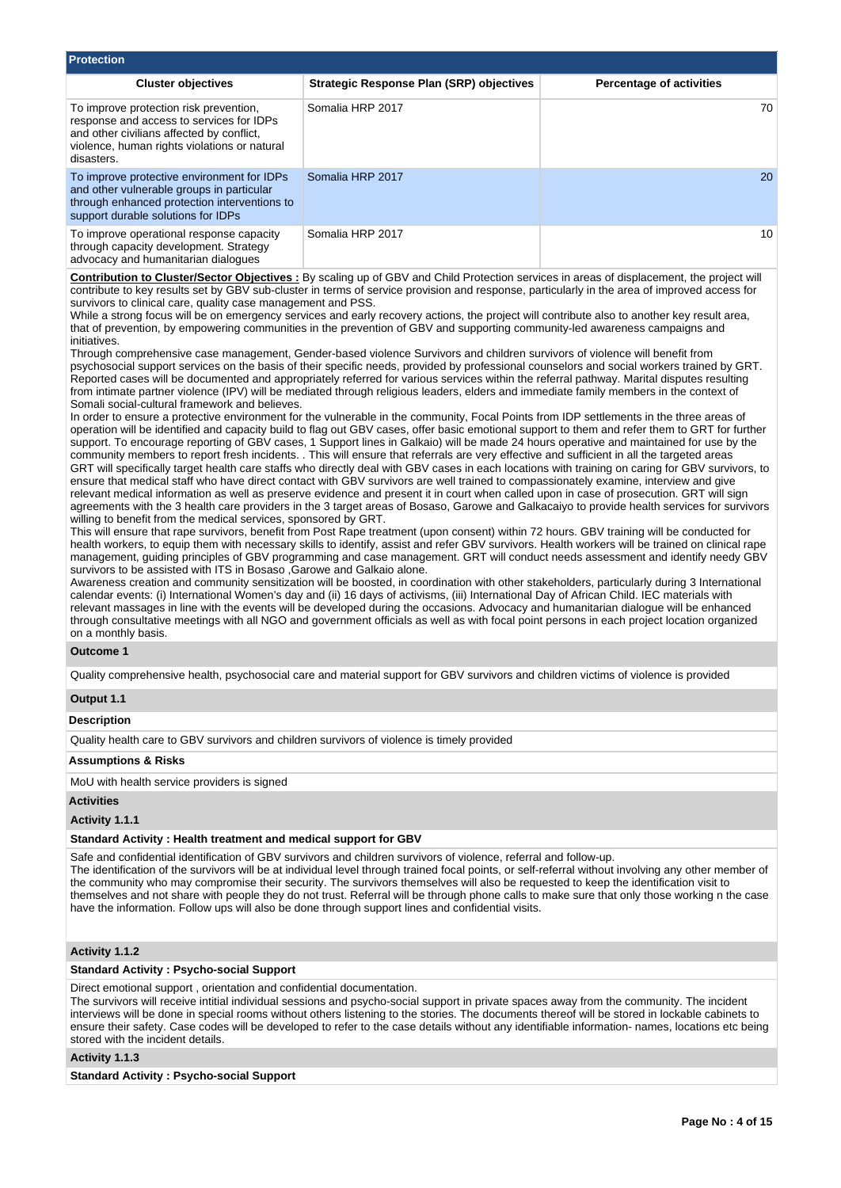| <b>Protection</b>                                                                                                                                                                             |                                                 |                                 |
|-----------------------------------------------------------------------------------------------------------------------------------------------------------------------------------------------|-------------------------------------------------|---------------------------------|
| <b>Cluster objectives</b>                                                                                                                                                                     | <b>Strategic Response Plan (SRP) objectives</b> | <b>Percentage of activities</b> |
| To improve protection risk prevention,<br>response and access to services for IDPs<br>and other civilians affected by conflict,<br>violence, human rights violations or natural<br>disasters. | Somalia HRP 2017                                | 70                              |
| To improve protective environment for IDPs<br>and other vulnerable groups in particular<br>through enhanced protection interventions to<br>support durable solutions for IDPs                 | Somalia HRP 2017                                | <b>20</b>                       |
| To improve operational response capacity<br>through capacity development. Strategy<br>advocacy and humanitarian dialogues                                                                     | Somalia HRP 2017                                | 10                              |

**Contribution to Cluster/Sector Objectives :** By scaling up of GBV and Child Protection services in areas of displacement, the project will contribute to key results set by GBV sub-cluster in terms of service provision and response, particularly in the area of improved access for survivors to clinical care, quality case management and PSS.

While a strong focus will be on emergency services and early recovery actions, the project will contribute also to another key result area, that of prevention, by empowering communities in the prevention of GBV and supporting community-led awareness campaigns and initiatives.

Through comprehensive case management, Gender-based violence Survivors and children survivors of violence will benefit from psychosocial support services on the basis of their specific needs, provided by professional counselors and social workers trained by GRT. Reported cases will be documented and appropriately referred for various services within the referral pathway. Marital disputes resulting from intimate partner violence (IPV) will be mediated through religious leaders, elders and immediate family members in the context of Somali social-cultural framework and believes.

In order to ensure a protective environment for the vulnerable in the community, Focal Points from IDP settlements in the three areas of operation will be identified and capacity build to flag out GBV cases, offer basic emotional support to them and refer them to GRT for further support. To encourage reporting of GBV cases, 1 Support lines in Galkaio) will be made 24 hours operative and maintained for use by the community members to report fresh incidents. . This will ensure that referrals are very effective and sufficient in all the targeted areas GRT will specifically target health care staffs who directly deal with GBV cases in each locations with training on caring for GBV survivors, to ensure that medical staff who have direct contact with GBV survivors are well trained to compassionately examine, interview and give relevant medical information as well as preserve evidence and present it in court when called upon in case of prosecution. GRT will sign agreements with the 3 health care providers in the 3 target areas of Bosaso, Garowe and Galkacaiyo to provide health services for survivors willing to benefit from the medical services, sponsored by GRT.

This will ensure that rape survivors, benefit from Post Rape treatment (upon consent) within 72 hours. GBV training will be conducted for health workers, to equip them with necessary skills to identify, assist and refer GBV survivors. Health workers will be trained on clinical rape management, guiding principles of GBV programming and case management. GRT will conduct needs assessment and identify needy GBV survivors to be assisted with ITS in Bosaso ,Garowe and Galkaio alone.

Awareness creation and community sensitization will be boosted, in coordination with other stakeholders, particularly during 3 International calendar events: (i) International Women's day and (ii) 16 days of activisms, (iii) International Day of African Child. IEC materials with relevant massages in line with the events will be developed during the occasions. Advocacy and humanitarian dialogue will be enhanced through consultative meetings with all NGO and government officials as well as with focal point persons in each project location organized on a monthly basis.

## **Outcome 1**

Quality comprehensive health, psychosocial care and material support for GBV survivors and children victims of violence is provided

#### **Output 1.1**

# **Description**

Quality health care to GBV survivors and children survivors of violence is timely provided

#### **Assumptions & Risks**

MoU with health service providers is signed

## **Activities**

**Activity 1.1.1** 

#### **Standard Activity : Health treatment and medical support for GBV**

Safe and confidential identification of GBV survivors and children survivors of violence, referral and follow-up.

The identification of the survivors will be at individual level through trained focal points, or self-referral without involving any other member of the community who may compromise their security. The survivors themselves will also be requested to keep the identification visit to themselves and not share with people they do not trust. Referral will be through phone calls to make sure that only those working n the case have the information. Follow ups will also be done through support lines and confidential visits.

## **Activity 1.1.2**

#### **Standard Activity : Psycho-social Support**

Direct emotional support , orientation and confidential documentation.

The survivors will receive intitial individual sessions and psycho-social support in private spaces away from the community. The incident interviews will be done in special rooms without others listening to the stories. The documents thereof will be stored in lockable cabinets to ensure their safety. Case codes will be developed to refer to the case details without any identifiable information- names, locations etc being stored with the incident details.

#### **Activity 1.1.3**

**Standard Activity : Psycho-social Support**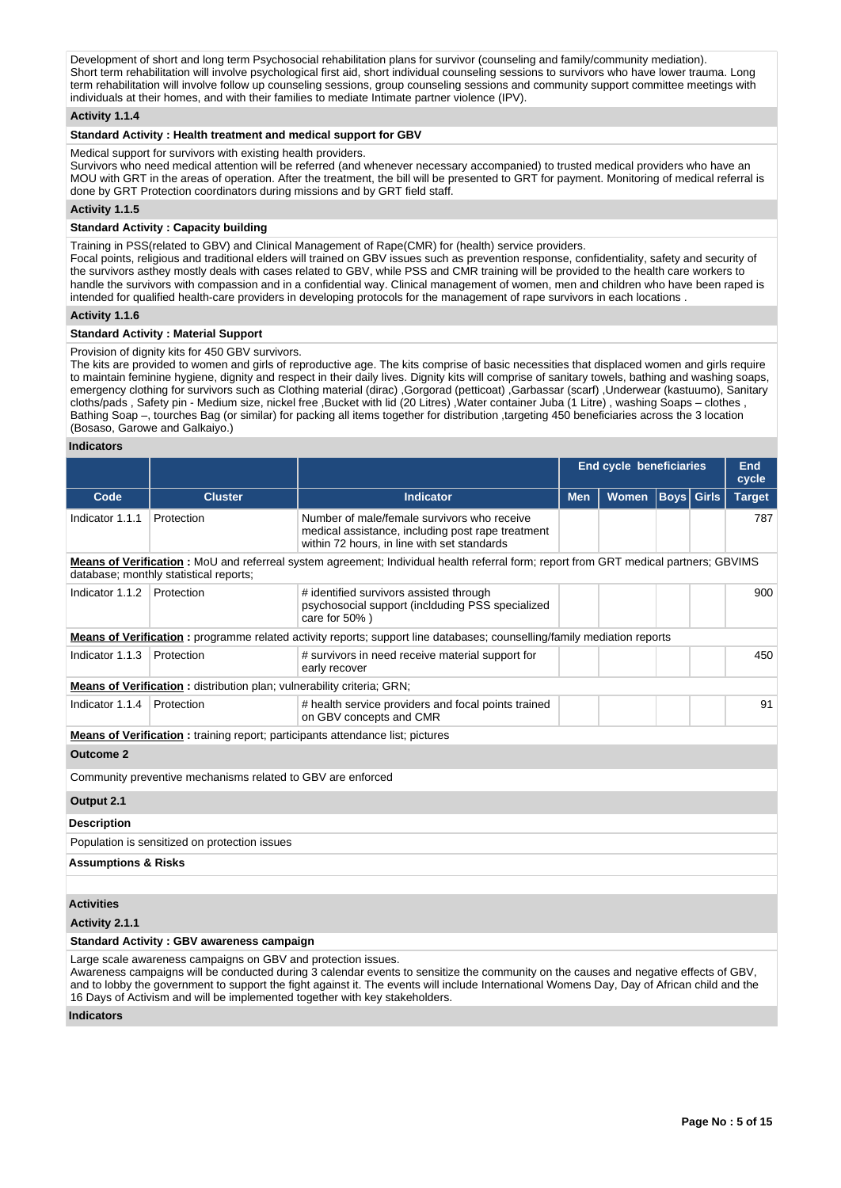Development of short and long term Psychosocial rehabilitation plans for survivor (counseling and family/community mediation). Short term rehabilitation will involve psychological first aid, short individual counseling sessions to survivors who have lower trauma. Long term rehabilitation will involve follow up counseling sessions, group counseling sessions and community support committee meetings with individuals at their homes, and with their families to mediate Intimate partner violence (IPV).

## **Activity 1.1.4**

# **Standard Activity : Health treatment and medical support for GBV**

Medical support for survivors with existing health providers.

Survivors who need medical attention will be referred (and whenever necessary accompanied) to trusted medical providers who have an MOU with GRT in the areas of operation. After the treatment, the bill will be presented to GRT for payment. Monitoring of medical referral is done by GRT Protection coordinators during missions and by GRT field staff.

# **Activity 1.1.5**

## **Standard Activity : Capacity building**

Training in PSS(related to GBV) and Clinical Management of Rape(CMR) for (health) service providers. Focal points, religious and traditional elders will trained on GBV issues such as prevention response, confidentiality, safety and security of the survivors asthey mostly deals with cases related to GBV, while PSS and CMR training will be provided to the health care workers to

handle the survivors with compassion and in a confidential way. Clinical management of women, men and children who have been raped is intended for qualified health-care providers in developing protocols for the management of rape survivors in each locations .

## **Activity 1.1.6**

#### **Standard Activity : Material Support**

Provision of dignity kits for 450 GBV survivors.

The kits are provided to women and girls of reproductive age. The kits comprise of basic necessities that displaced women and girls require to maintain feminine hygiene, dignity and respect in their daily lives. Dignity kits will comprise of sanitary towels, bathing and washing soaps, emergency clothing for survivors such as Clothing material (dirac) ,Gorgorad (petticoat) ,Garbassar (scarf) ,Underwear (kastuumo), Sanitary cloths/pads , Safety pin - Medium size, nickel free ,Bucket with lid (20 Litres) ,Water container Juba (1 Litre) , washing Soaps – clothes , Bathing Soap –, tourches Bag (or similar) for packing all items together for distribution ,targeting 450 beneficiaries across the 3 location (Bosaso, Garowe and Galkaiyo.)

#### **Indicators**

|                                                                                                                                                                                                                                                                                                                                                                                                                                     |                                                                        |                                                                                                                                                 | <b>End cycle beneficiaries</b> |              |                      | <b>End</b><br>cycle |               |  |
|-------------------------------------------------------------------------------------------------------------------------------------------------------------------------------------------------------------------------------------------------------------------------------------------------------------------------------------------------------------------------------------------------------------------------------------|------------------------------------------------------------------------|-------------------------------------------------------------------------------------------------------------------------------------------------|--------------------------------|--------------|----------------------|---------------------|---------------|--|
| Code                                                                                                                                                                                                                                                                                                                                                                                                                                | <b>Cluster</b>                                                         | Indicator                                                                                                                                       | <b>Men</b>                     | <b>Women</b> | $\vert$ Boys $\vert$ | <b>Girls</b>        | <b>Target</b> |  |
| Indicator 1.1.1                                                                                                                                                                                                                                                                                                                                                                                                                     | Protection                                                             | Number of male/female survivors who receive<br>medical assistance, including post rape treatment<br>within 72 hours, in line with set standards |                                |              |                      |                     | 787           |  |
|                                                                                                                                                                                                                                                                                                                                                                                                                                     | database; monthly statistical reports;                                 | Means of Verification : MoU and referreal system agreement; Individual health referral form; report from GRT medical partners; GBVIMS           |                                |              |                      |                     |               |  |
| Indicator 1.1.2                                                                                                                                                                                                                                                                                                                                                                                                                     | Protection                                                             | # identified survivors assisted through<br>psychosocial support (inclduding PSS specialized<br>care for 50%)                                    |                                |              |                      |                     | 900           |  |
|                                                                                                                                                                                                                                                                                                                                                                                                                                     |                                                                        | Means of Verification: programme related activity reports; support line databases; counselling/family mediation reports                         |                                |              |                      |                     |               |  |
| Indicator 1.1.3                                                                                                                                                                                                                                                                                                                                                                                                                     | Protection                                                             | # survivors in need receive material support for<br>early recover                                                                               |                                |              |                      |                     | 450           |  |
|                                                                                                                                                                                                                                                                                                                                                                                                                                     | Means of Verification: distribution plan; vulnerability criteria; GRN; |                                                                                                                                                 |                                |              |                      |                     |               |  |
| Indicator 1.1.4                                                                                                                                                                                                                                                                                                                                                                                                                     | Protection                                                             | # health service providers and focal points trained<br>on GBV concepts and CMR                                                                  |                                |              |                      |                     | 91            |  |
|                                                                                                                                                                                                                                                                                                                                                                                                                                     |                                                                        | Means of Verification: training report; participants attendance list; pictures                                                                  |                                |              |                      |                     |               |  |
| <b>Outcome 2</b>                                                                                                                                                                                                                                                                                                                                                                                                                    |                                                                        |                                                                                                                                                 |                                |              |                      |                     |               |  |
|                                                                                                                                                                                                                                                                                                                                                                                                                                     | Community preventive mechanisms related to GBV are enforced            |                                                                                                                                                 |                                |              |                      |                     |               |  |
| Output 2.1                                                                                                                                                                                                                                                                                                                                                                                                                          |                                                                        |                                                                                                                                                 |                                |              |                      |                     |               |  |
| <b>Description</b>                                                                                                                                                                                                                                                                                                                                                                                                                  |                                                                        |                                                                                                                                                 |                                |              |                      |                     |               |  |
|                                                                                                                                                                                                                                                                                                                                                                                                                                     | Population is sensitized on protection issues                          |                                                                                                                                                 |                                |              |                      |                     |               |  |
| <b>Assumptions &amp; Risks</b>                                                                                                                                                                                                                                                                                                                                                                                                      |                                                                        |                                                                                                                                                 |                                |              |                      |                     |               |  |
|                                                                                                                                                                                                                                                                                                                                                                                                                                     |                                                                        |                                                                                                                                                 |                                |              |                      |                     |               |  |
| <b>Activities</b>                                                                                                                                                                                                                                                                                                                                                                                                                   |                                                                        |                                                                                                                                                 |                                |              |                      |                     |               |  |
| Activity 2.1.1                                                                                                                                                                                                                                                                                                                                                                                                                      |                                                                        |                                                                                                                                                 |                                |              |                      |                     |               |  |
| <b>Standard Activity: GBV awareness campaign</b>                                                                                                                                                                                                                                                                                                                                                                                    |                                                                        |                                                                                                                                                 |                                |              |                      |                     |               |  |
| Large scale awareness campaigns on GBV and protection issues.<br>Awareness campaigns will be conducted during 3 calendar events to sensitize the community on the causes and negative effects of GBV,<br>and to lobby the government to support the fight against it. The events will include International Womens Day, Day of African child and the<br>16 Days of Activism and will be implemented together with key stakeholders. |                                                                        |                                                                                                                                                 |                                |              |                      |                     |               |  |

**Indicators**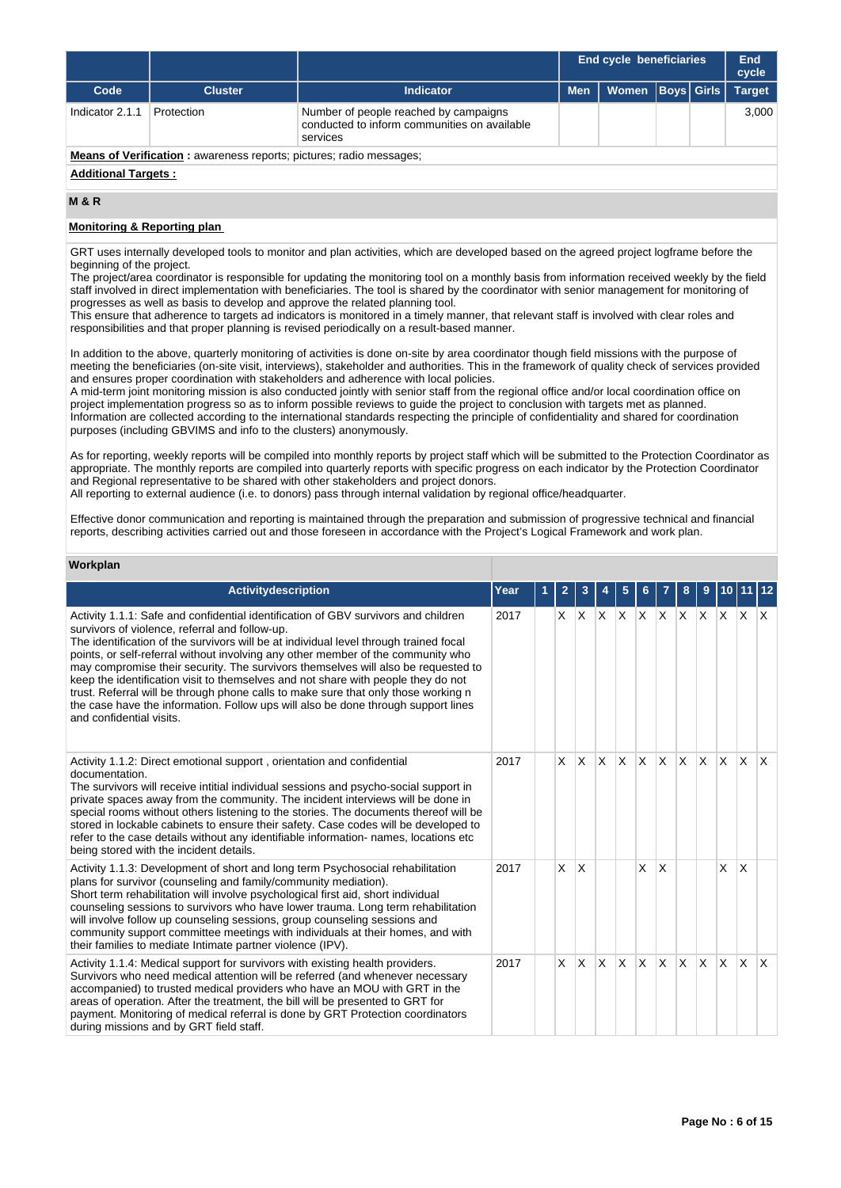|                                                                            |                |                                                                                                   |            | <b>End cycle beneficiaries</b> |                   |  | End<br>cycle  |  |  |
|----------------------------------------------------------------------------|----------------|---------------------------------------------------------------------------------------------------|------------|--------------------------------|-------------------|--|---------------|--|--|
| Code                                                                       | <b>Cluster</b> | Indicator                                                                                         | <b>Men</b> | Women                          | <b>Boys Girls</b> |  | <b>Target</b> |  |  |
| Indicator 2.1.1                                                            | Protection     | Number of people reached by campaigns<br>conducted to inform communities on available<br>services |            |                                |                   |  | 3.000         |  |  |
| <b>Means of Verification:</b> awareness reports; pictures; radio messages; |                |                                                                                                   |            |                                |                   |  |               |  |  |
| <b>Additional Targets:</b>                                                 |                |                                                                                                   |            |                                |                   |  |               |  |  |

## **M & R**

# **Monitoring & Reporting plan**

GRT uses internally developed tools to monitor and plan activities, which are developed based on the agreed project logframe before the beginning of the project.

The project/area coordinator is responsible for updating the monitoring tool on a monthly basis from information received weekly by the field staff involved in direct implementation with beneficiaries. The tool is shared by the coordinator with senior management for monitoring of progresses as well as basis to develop and approve the related planning tool.

This ensure that adherence to targets ad indicators is monitored in a timely manner, that relevant staff is involved with clear roles and responsibilities and that proper planning is revised periodically on a result-based manner.

In addition to the above, quarterly monitoring of activities is done on-site by area coordinator though field missions with the purpose of meeting the beneficiaries (on-site visit, interviews), stakeholder and authorities. This in the framework of quality check of services provided and ensures proper coordination with stakeholders and adherence with local policies.

A mid-term joint monitoring mission is also conducted jointly with senior staff from the regional office and/or local coordination office on project implementation progress so as to inform possible reviews to guide the project to conclusion with targets met as planned. Information are collected according to the international standards respecting the principle of confidentiality and shared for coordination purposes (including GBVIMS and info to the clusters) anonymously.

As for reporting, weekly reports will be compiled into monthly reports by project staff which will be submitted to the Protection Coordinator as appropriate. The monthly reports are compiled into quarterly reports with specific progress on each indicator by the Protection Coordinator and Regional representative to be shared with other stakeholders and project donors.

All reporting to external audience (i.e. to donors) pass through internal validation by regional office/headquarter.

Effective donor communication and reporting is maintained through the preparation and submission of progressive technical and financial reports, describing activities carried out and those foreseen in accordance with the Project's Logical Framework and work plan.

# **Workplan**

| <b>Activitydescription</b>                                                                                                                                                                                                                                                                                                                                                                                                                                                                                                                                                                                                                                                                         | Year | $\overline{2}$ | 3            |              | 5            | 6.           |                 | 8        | 9        | 10       |              | 12           |
|----------------------------------------------------------------------------------------------------------------------------------------------------------------------------------------------------------------------------------------------------------------------------------------------------------------------------------------------------------------------------------------------------------------------------------------------------------------------------------------------------------------------------------------------------------------------------------------------------------------------------------------------------------------------------------------------------|------|----------------|--------------|--------------|--------------|--------------|-----------------|----------|----------|----------|--------------|--------------|
| Activity 1.1.1: Safe and confidential identification of GBV survivors and children<br>survivors of violence, referral and follow-up.<br>The identification of the survivors will be at individual level through trained focal<br>points, or self-referral without involving any other member of the community who<br>may compromise their security. The survivors themselves will also be requested to<br>keep the identification visit to themselves and not share with people they do not<br>trust. Referral will be through phone calls to make sure that only those working n<br>the case have the information. Follow ups will also be done through support lines<br>and confidential visits. | 2017 | X.             | $ X $ $ X $  |              |              |              | $X$ $X$ $X$ $X$ |          |          |          | $X \times X$ |              |
| Activity 1.1.2: Direct emotional support, orientation and confidential<br>documentation.<br>The survivors will receive intitial individual sessions and psycho-social support in<br>private spaces away from the community. The incident interviews will be done in<br>special rooms without others listening to the stories. The documents thereof will be<br>stored in lockable cabinets to ensure their safety. Case codes will be developed to<br>refer to the case details without any identifiable information- names, locations etc<br>being stored with the incident details.                                                                                                              | 2017 | X              | <b>X</b>     | ΙX.          | $\mathsf{x}$ | X            | <b>X</b>        | $\times$ | <b>X</b> | <b>X</b> | <b>X</b>     | ΙX.          |
| Activity 1.1.3: Development of short and long term Psychosocial rehabilitation<br>plans for survivor (counseling and family/community mediation).<br>Short term rehabilitation will involve psychological first aid, short individual<br>counseling sessions to survivors who have lower trauma. Long term rehabilitation<br>will involve follow up counseling sessions, group counseling sessions and<br>community support committee meetings with individuals at their homes, and with<br>their families to mediate Intimate partner violence (IPV).                                                                                                                                             | 2017 | $\times$       | ΙX.          |              |              | X            | <sup>X</sup>    |          |          | X        | X            |              |
| Activity 1.1.4: Medical support for survivors with existing health providers.<br>Survivors who need medical attention will be referred (and whenever necessary<br>accompanied) to trusted medical providers who have an MOU with GRT in the<br>areas of operation. After the treatment, the bill will be presented to GRT for<br>payment. Monitoring of medical referral is done by GRT Protection coordinators<br>during missions and by GRT field staff.                                                                                                                                                                                                                                         | 2017 | X              | $\mathsf{X}$ | $\mathsf{X}$ | <b>X</b>     | $\mathsf{x}$ | <b>X</b>        | <b>X</b> | <b>X</b> | ΙX.      | ΙX.          | $\mathsf{X}$ |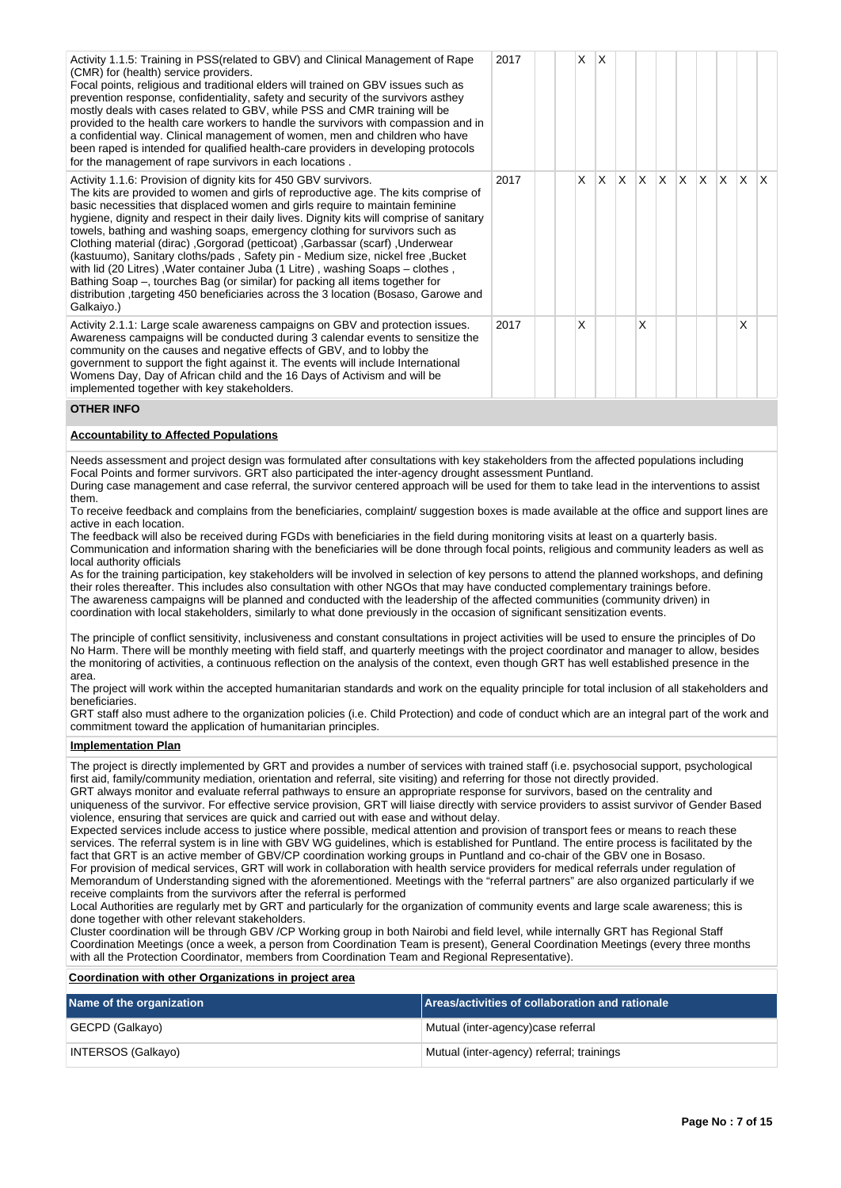| Activity 1.1.5: Training in PSS (related to GBV) and Clinical Management of Rape<br>(CMR) for (health) service providers.<br>Focal points, religious and traditional elders will trained on GBV issues such as<br>prevention response, confidentiality, safety and security of the survivors asthey<br>mostly deals with cases related to GBV, while PSS and CMR training will be<br>provided to the health care workers to handle the survivors with compassion and in<br>a confidential way. Clinical management of women, men and children who have<br>been raped is intended for qualified health-care providers in developing protocols<br>for the management of rape survivors in each locations.                                                                                                                                                        | 2017 | X | ΙX  |          |     |             |  |   |  |
|----------------------------------------------------------------------------------------------------------------------------------------------------------------------------------------------------------------------------------------------------------------------------------------------------------------------------------------------------------------------------------------------------------------------------------------------------------------------------------------------------------------------------------------------------------------------------------------------------------------------------------------------------------------------------------------------------------------------------------------------------------------------------------------------------------------------------------------------------------------|------|---|-----|----------|-----|-------------|--|---|--|
| Activity 1.1.6: Provision of dignity kits for 450 GBV survivors.<br>The kits are provided to women and girls of reproductive age. The kits comprise of<br>basic necessities that displaced women and girls require to maintain feminine<br>hygiene, dignity and respect in their daily lives. Dignity kits will comprise of sanitary<br>towels, bathing and washing soaps, emergency clothing for survivors such as<br>Clothing material (dirac), Gorgorad (petticoat), Garbassar (scarf), Underwear<br>(kastuumo), Sanitary cloths/pads, Safety pin - Medium size, nickel free, Bucket<br>with lid (20 Litres), Water container Juba (1 Litre), washing Soaps - clothes,<br>Bathing Soap -, tourches Bag (or similar) for packing all items together for<br>distribution, targeting 450 beneficiaries across the 3 location (Bosaso, Garowe and<br>Galkaiyo.) | 2017 | X | lx. | <b>X</b> | ΙX. | x x x x x x |  |   |  |
| Activity 2.1.1: Large scale awareness campaigns on GBV and protection issues.<br>Awareness campaigns will be conducted during 3 calendar events to sensitize the<br>community on the causes and negative effects of GBV, and to lobby the<br>government to support the fight against it. The events will include International<br>Womens Day, Day of African child and the 16 Days of Activism and will be<br>implemented together with key stakeholders.                                                                                                                                                                                                                                                                                                                                                                                                      | 2017 | X |     |          | x   |             |  | X |  |

# **OTHER INFO**

#### **Accountability to Affected Populations**

Needs assessment and project design was formulated after consultations with key stakeholders from the affected populations including Focal Points and former survivors. GRT also participated the inter-agency drought assessment Puntland. During case management and case referral, the survivor centered approach will be used for them to take lead in the interventions to assist them.

To receive feedback and complains from the beneficiaries, complaint/ suggestion boxes is made available at the office and support lines are active in each location.

The feedback will also be received during FGDs with beneficiaries in the field during monitoring visits at least on a quarterly basis. Communication and information sharing with the beneficiaries will be done through focal points, religious and community leaders as well as local authority officials

As for the training participation, key stakeholders will be involved in selection of key persons to attend the planned workshops, and defining their roles thereafter. This includes also consultation with other NGOs that may have conducted complementary trainings before. The awareness campaigns will be planned and conducted with the leadership of the affected communities (community driven) in coordination with local stakeholders, similarly to what done previously in the occasion of significant sensitization events.

The principle of conflict sensitivity, inclusiveness and constant consultations in project activities will be used to ensure the principles of Do No Harm. There will be monthly meeting with field staff, and quarterly meetings with the project coordinator and manager to allow, besides the monitoring of activities, a continuous reflection on the analysis of the context, even though GRT has well established presence in the area.

The project will work within the accepted humanitarian standards and work on the equality principle for total inclusion of all stakeholders and beneficiaries.

GRT staff also must adhere to the organization policies (i.e. Child Protection) and code of conduct which are an integral part of the work and commitment toward the application of humanitarian principles.

## **Implementation Plan**

The project is directly implemented by GRT and provides a number of services with trained staff (i.e. psychosocial support, psychological first aid, family/community mediation, orientation and referral, site visiting) and referring for those not directly provided.

GRT always monitor and evaluate referral pathways to ensure an appropriate response for survivors, based on the centrality and uniqueness of the survivor. For effective service provision, GRT will liaise directly with service providers to assist survivor of Gender Based violence, ensuring that services are quick and carried out with ease and without delay.

Expected services include access to justice where possible, medical attention and provision of transport fees or means to reach these services. The referral system is in line with GBV WG guidelines, which is established for Puntland. The entire process is facilitated by the fact that GRT is an active member of GBV/CP coordination working groups in Puntland and co-chair of the GBV one in Bosaso. For provision of medical services, GRT will work in collaboration with health service providers for medical referrals under regulation of Memorandum of Understanding signed with the aforementioned. Meetings with the "referral partners" are also organized particularly if we receive complaints from the survivors after the referral is performed

Local Authorities are regularly met by GRT and particularly for the organization of community events and large scale awareness; this is done together with other relevant stakeholders.

Cluster coordination will be through GBV /CP Working group in both Nairobi and field level, while internally GRT has Regional Staff Coordination Meetings (once a week, a person from Coordination Team is present), General Coordination Meetings (every three months with all the Protection Coordinator, members from Coordination Team and Regional Representative).

**Coordination with other Organizations in project area**

| Name of the organization | Areas/activities of collaboration and rationale |
|--------------------------|-------------------------------------------------|
| GECPD (Galkayo)          | Mutual (inter-agency)case referral              |
| INTERSOS (Galkayo)       | Mutual (inter-agency) referral; trainings       |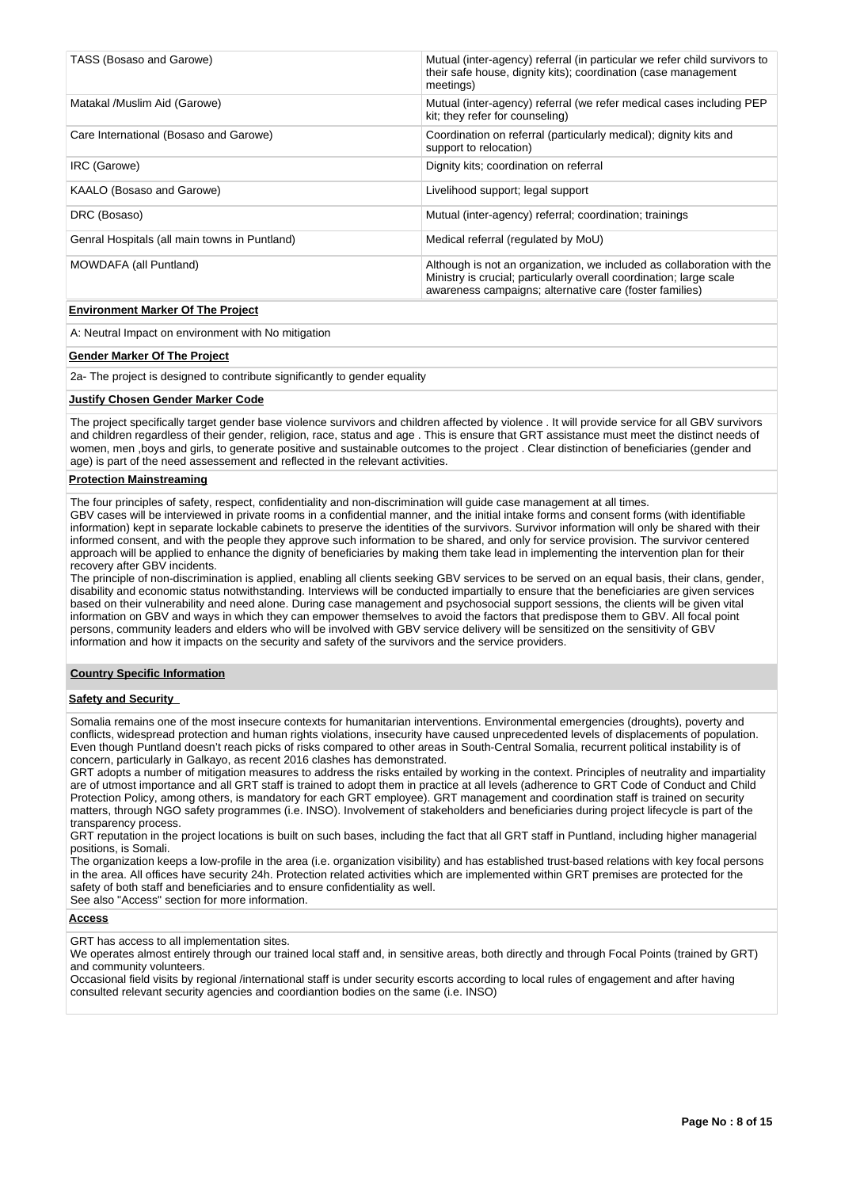| TASS (Bosaso and Garowe)                      | Mutual (inter-agency) referral (in particular we refer child survivors to<br>their safe house, dignity kits); coordination (case management<br>meetings)                                                 |
|-----------------------------------------------|----------------------------------------------------------------------------------------------------------------------------------------------------------------------------------------------------------|
| Matakal /Muslim Aid (Garowe)                  | Mutual (inter-agency) referral (we refer medical cases including PEP<br>kit; they refer for counseling)                                                                                                  |
| Care International (Bosaso and Garowe)        | Coordination on referral (particularly medical); dignity kits and<br>support to relocation)                                                                                                              |
| IRC (Garowe)                                  | Dignity kits; coordination on referral                                                                                                                                                                   |
| KAALO (Bosaso and Garowe)                     | Livelihood support; legal support                                                                                                                                                                        |
| DRC (Bosaso)                                  | Mutual (inter-agency) referral; coordination; trainings                                                                                                                                                  |
| Genral Hospitals (all main towns in Puntland) | Medical referral (regulated by MoU)                                                                                                                                                                      |
| MOWDAFA (all Puntland)                        | Although is not an organization, we included as collaboration with the<br>Ministry is crucial; particularly overall coordination; large scale<br>awareness campaigns; alternative care (foster families) |
| _ . _ _ _ _ _ _ _                             |                                                                                                                                                                                                          |

#### **Environment Marker Of The Project**

A: Neutral Impact on environment with No mitigation

#### **Gender Marker Of The Project**

2a- The project is designed to contribute significantly to gender equality

#### **Justify Chosen Gender Marker Code**

The project specifically target gender base violence survivors and children affected by violence . It will provide service for all GBV survivors and children regardless of their gender, religion, race, status and age . This is ensure that GRT assistance must meet the distinct needs of women, men ,boys and girls, to generate positive and sustainable outcomes to the project . Clear distinction of beneficiaries (gender and age) is part of the need assessement and reflected in the relevant activities.

#### **Protection Mainstreaming**

The four principles of safety, respect, confidentiality and non-discrimination will guide case management at all times. GBV cases will be interviewed in private rooms in a confidential manner, and the initial intake forms and consent forms (with identifiable information) kept in separate lockable cabinets to preserve the identities of the survivors. Survivor information will only be shared with their informed consent, and with the people they approve such information to be shared, and only for service provision. The survivor centered approach will be applied to enhance the dignity of beneficiaries by making them take lead in implementing the intervention plan for their recovery after GBV incidents.

The principle of non-discrimination is applied, enabling all clients seeking GBV services to be served on an equal basis, their clans, gender, disability and economic status notwithstanding. Interviews will be conducted impartially to ensure that the beneficiaries are given services based on their vulnerability and need alone. During case management and psychosocial support sessions, the clients will be given vital information on GBV and ways in which they can empower themselves to avoid the factors that predispose them to GBV. All focal point persons, community leaders and elders who will be involved with GBV service delivery will be sensitized on the sensitivity of GBV information and how it impacts on the security and safety of the survivors and the service providers.

# **Country Specific Information**

#### **Safety and Security**

Somalia remains one of the most insecure contexts for humanitarian interventions. Environmental emergencies (droughts), poverty and conflicts, widespread protection and human rights violations, insecurity have caused unprecedented levels of displacements of population. Even though Puntland doesn't reach picks of risks compared to other areas in South-Central Somalia, recurrent political instability is of concern, particularly in Galkayo, as recent 2016 clashes has demonstrated.

GRT adopts a number of mitigation measures to address the risks entailed by working in the context. Principles of neutrality and impartiality are of utmost importance and all GRT staff is trained to adopt them in practice at all levels (adherence to GRT Code of Conduct and Child Protection Policy, among others, is mandatory for each GRT employee). GRT management and coordination staff is trained on security matters, through NGO safety programmes (i.e. INSO). Involvement of stakeholders and beneficiaries during project lifecycle is part of the transparency process.

GRT reputation in the project locations is built on such bases, including the fact that all GRT staff in Puntland, including higher managerial positions, is Somali.

The organization keeps a low-profile in the area (i.e. organization visibility) and has established trust-based relations with key focal persons in the area. All offices have security 24h. Protection related activities which are implemented within GRT premises are protected for the safety of both staff and beneficiaries and to ensure confidentiality as well.

See also "Access" section for more information.

# **Access**

GRT has access to all implementation sites.

We operates almost entirely through our trained local staff and, in sensitive areas, both directly and through Focal Points (trained by GRT) and community volunteers.

Occasional field visits by regional /international staff is under security escorts according to local rules of engagement and after having consulted relevant security agencies and coordiantion bodies on the same (i.e. INSO)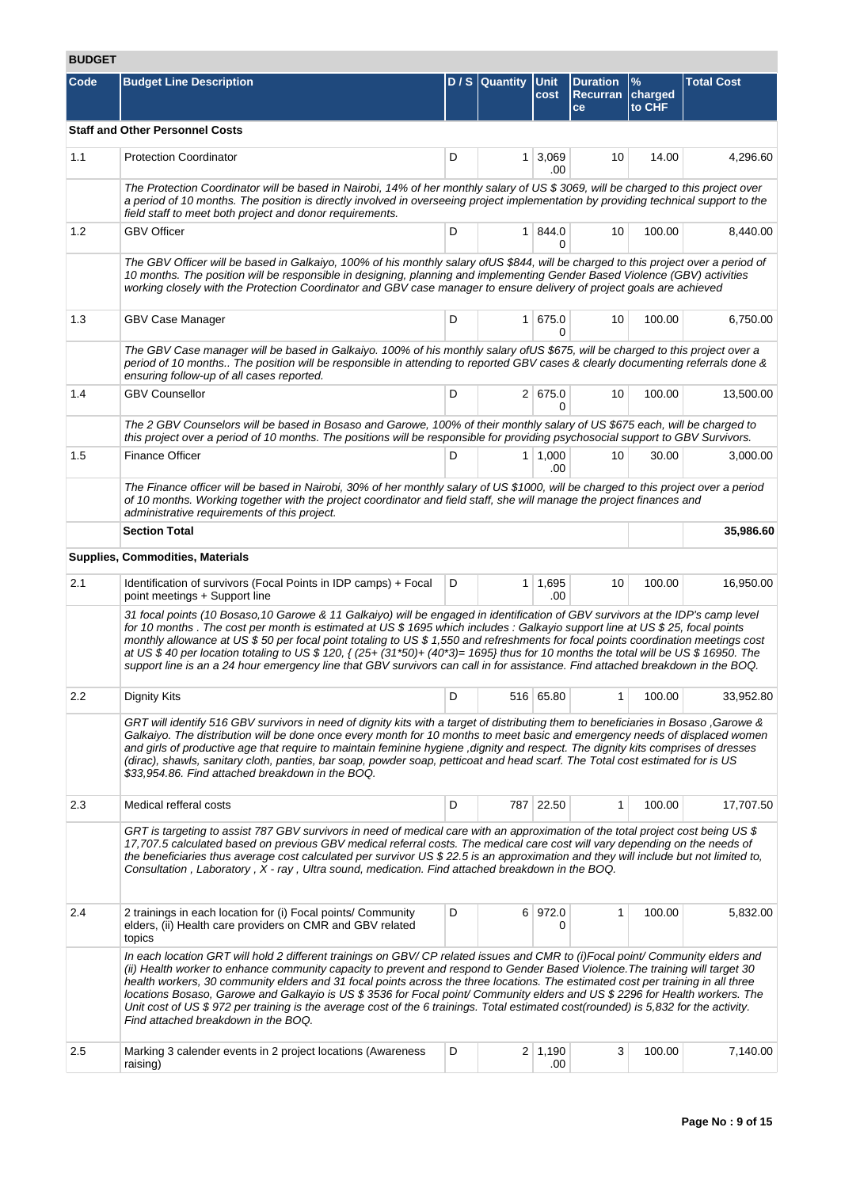# **BUDGET**

| ו∟טטט |                                                                                                                                                                                                                                                                                                                                                                                                                                                                                                                                                                                                                                                                                                                |   |                     |                          |                                          |                                    |                   |  |  |  |  |
|-------|----------------------------------------------------------------------------------------------------------------------------------------------------------------------------------------------------------------------------------------------------------------------------------------------------------------------------------------------------------------------------------------------------------------------------------------------------------------------------------------------------------------------------------------------------------------------------------------------------------------------------------------------------------------------------------------------------------------|---|---------------------|--------------------------|------------------------------------------|------------------------------------|-------------------|--|--|--|--|
| Code  | <b>Budget Line Description</b>                                                                                                                                                                                                                                                                                                                                                                                                                                                                                                                                                                                                                                                                                 |   | D / S Quantity Unit | cost                     | <b>Duration</b><br><b>Recurran</b><br>ce | $\frac{9}{6}$<br>charged<br>to CHF | <b>Total Cost</b> |  |  |  |  |
|       | <b>Staff and Other Personnel Costs</b>                                                                                                                                                                                                                                                                                                                                                                                                                                                                                                                                                                                                                                                                         |   |                     |                          |                                          |                                    |                   |  |  |  |  |
| 1.1   | <b>Protection Coordinator</b>                                                                                                                                                                                                                                                                                                                                                                                                                                                                                                                                                                                                                                                                                  | D |                     | $1 \mid 3,069$<br>.00    | 10                                       | 14.00                              | 4,296.60          |  |  |  |  |
|       | The Protection Coordinator will be based in Nairobi, 14% of her monthly salary of US \$3069, will be charged to this project over<br>a period of 10 months. The position is directly involved in overseeing project implementation by providing technical support to the<br>field staff to meet both project and donor requirements.                                                                                                                                                                                                                                                                                                                                                                           |   |                     |                          |                                          |                                    |                   |  |  |  |  |
| 1.2   | <b>GBV Officer</b>                                                                                                                                                                                                                                                                                                                                                                                                                                                                                                                                                                                                                                                                                             | D |                     | $1 \, 844.0$<br>$\Omega$ | 10                                       | 100.00                             | 8,440.00          |  |  |  |  |
|       | The GBV Officer will be based in Galkaiyo, 100% of his monthly salary of US \$844, will be charged to this project over a period of<br>10 months. The position will be responsible in designing, planning and implementing Gender Based Violence (GBV) activities<br>working closely with the Protection Coordinator and GBV case manager to ensure delivery of project goals are achieved                                                                                                                                                                                                                                                                                                                     |   |                     |                          |                                          |                                    |                   |  |  |  |  |
| 1.3   | GBV Case Manager                                                                                                                                                                                                                                                                                                                                                                                                                                                                                                                                                                                                                                                                                               | D |                     | 1 675.0<br>0             | 10                                       | 100.00                             | 6,750.00          |  |  |  |  |
|       | The GBV Case manager will be based in Galkaiyo. 100% of his monthly salary ofUS \$675, will be charged to this project over a<br>period of 10 months The position will be responsible in attending to reported GBV cases & clearly documenting referrals done &<br>ensuring follow-up of all cases reported.                                                                                                                                                                                                                                                                                                                                                                                                   |   |                     |                          |                                          |                                    |                   |  |  |  |  |
| 1.4   | <b>GBV Counsellor</b>                                                                                                                                                                                                                                                                                                                                                                                                                                                                                                                                                                                                                                                                                          | D |                     | 2 675.0<br>0             | 10                                       | 100.00                             | 13,500.00         |  |  |  |  |
|       | The 2 GBV Counselors will be based in Bosaso and Garowe, 100% of their monthly salary of US \$675 each, will be charged to<br>this project over a period of 10 months. The positions will be responsible for providing psychosocial support to GBV Survivors.                                                                                                                                                                                                                                                                                                                                                                                                                                                  |   |                     |                          |                                          |                                    |                   |  |  |  |  |
| 1.5   | <b>Finance Officer</b>                                                                                                                                                                                                                                                                                                                                                                                                                                                                                                                                                                                                                                                                                         | D |                     | $1 \mid 1,000$<br>.00    | 10                                       | 30.00                              | 3,000.00          |  |  |  |  |
|       | The Finance officer will be based in Nairobi, 30% of her monthly salary of US \$1000, will be charged to this project over a period<br>of 10 months. Working together with the project coordinator and field staff, she will manage the project finances and<br>administrative requirements of this project.                                                                                                                                                                                                                                                                                                                                                                                                   |   |                     |                          |                                          |                                    |                   |  |  |  |  |
|       | <b>Section Total</b>                                                                                                                                                                                                                                                                                                                                                                                                                                                                                                                                                                                                                                                                                           |   |                     |                          |                                          |                                    | 35,986.60         |  |  |  |  |
|       | <b>Supplies, Commodities, Materials</b>                                                                                                                                                                                                                                                                                                                                                                                                                                                                                                                                                                                                                                                                        |   |                     |                          |                                          |                                    |                   |  |  |  |  |
| 2.1   | Identification of survivors (Focal Points in IDP camps) + Focal<br>point meetings + Support line                                                                                                                                                                                                                                                                                                                                                                                                                                                                                                                                                                                                               | D |                     | $1 \mid 1,695$<br>.00    | 10                                       | 100.00                             | 16,950.00         |  |  |  |  |
|       | 31 focal points (10 Bosaso, 10 Garowe & 11 Galkaiyo) will be engaged in identification of GBV survivors at the IDP's camp level<br>for 10 months. The cost per month is estimated at US \$ 1695 which includes: Galkayio support line at US \$ 25, focal points<br>monthly allowance at US \$ 50 per focal point totaling to US \$ 1,550 and refreshments for focal points coordination meetings cost<br>at US \$ 40 per location totaling to US \$ 120, { (25+ (31*50)+ (40*3)= 1695} thus for 10 months the total will be US \$ 16950. The<br>support line is an a 24 hour emergency line that GBV survivors can call in for assistance. Find attached breakdown in the BOQ.                                 |   |                     |                          |                                          |                                    |                   |  |  |  |  |
| 2.2   | Dignity Kits                                                                                                                                                                                                                                                                                                                                                                                                                                                                                                                                                                                                                                                                                                   | D |                     | 516 65.80                |                                          | 100.00                             | 33,952.80         |  |  |  |  |
|       | GRT will identify 516 GBV survivors in need of dignity kits with a target of distributing them to beneficiaries in Bosaso, Garowe &<br>Galkaiyo. The distribution will be done once every month for 10 months to meet basic and emergency needs of displaced women<br>and girls of productive age that require to maintain feminine hygiene, dignity and respect. The dignity kits comprises of dresses<br>(dirac), shawls, sanitary cloth, panties, bar soap, powder soap, petticoat and head scarf. The Total cost estimated for is US<br>\$33,954.86. Find attached breakdown in the BOQ.                                                                                                                   |   |                     |                          |                                          |                                    |                   |  |  |  |  |
| 2.3   | Medical refferal costs                                                                                                                                                                                                                                                                                                                                                                                                                                                                                                                                                                                                                                                                                         | D |                     | 787 22.50                | $\mathbf{1}$                             | 100.00                             | 17,707.50         |  |  |  |  |
|       | GRT is targeting to assist 787 GBV survivors in need of medical care with an approximation of the total project cost being US \$<br>17,707.5 calculated based on previous GBV medical referral costs. The medical care cost will vary depending on the needs of<br>the beneficiaries thus average cost calculated per survivor US \$22.5 is an approximation and they will include but not limited to,<br>Consultation, Laboratory, X - ray, Ultra sound, medication. Find attached breakdown in the BOQ.                                                                                                                                                                                                      |   |                     |                          |                                          |                                    |                   |  |  |  |  |
| 2.4   | 2 trainings in each location for (i) Focal points/ Community<br>elders, (ii) Health care providers on CMR and GBV related<br>topics                                                                                                                                                                                                                                                                                                                                                                                                                                                                                                                                                                            | D |                     | 6 972.0<br>0             | 1                                        | 100.00                             | 5,832.00          |  |  |  |  |
|       | In each location GRT will hold 2 different trainings on GBV/CP related issues and CMR to (i)Focal point/ Community elders and<br>(ii) Health worker to enhance community capacity to prevent and respond to Gender Based Violence. The training will target 30<br>health workers, 30 community elders and 31 focal points across the three locations. The estimated cost per training in all three<br>locations Bosaso, Garowe and Galkayio is US \$3536 for Focal point/ Community elders and US \$2296 for Health workers. The<br>Unit cost of US \$972 per training is the average cost of the 6 trainings. Total estimated cost(rounded) is 5,832 for the activity.<br>Find attached breakdown in the BOQ. |   |                     |                          |                                          |                                    |                   |  |  |  |  |
| 2.5   | Marking 3 calender events in 2 project locations (Awareness<br>raising)                                                                                                                                                                                                                                                                                                                                                                                                                                                                                                                                                                                                                                        | D |                     | 2 1,190<br>.00           | 3                                        | 100.00                             | 7,140.00          |  |  |  |  |
|       |                                                                                                                                                                                                                                                                                                                                                                                                                                                                                                                                                                                                                                                                                                                |   |                     |                          |                                          |                                    |                   |  |  |  |  |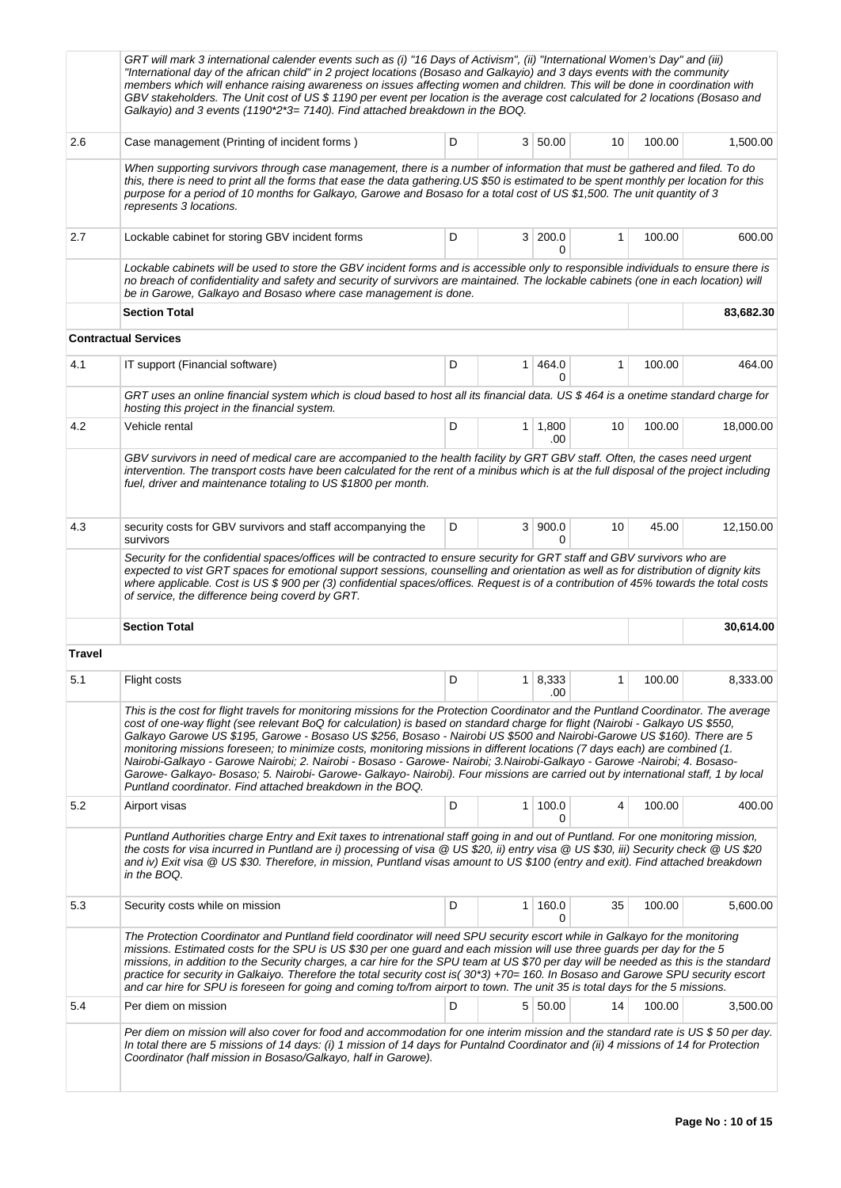|                                                                                                                                                                                                                                                                                                                                          | GRT will mark 3 international calender events such as (i) "16 Days of Activism", (ii) "International Women's Day" and (iii)<br>"International day of the african child" in 2 project locations (Bosaso and Galkayio) and 3 days events with the community<br>members which will enhance raising awareness on issues affecting women and children. This will be done in coordination with<br>GBV stakeholders. The Unit cost of US \$ 1190 per event per location is the average cost calculated for 2 locations (Bosaso and<br>Galkayio) and 3 events (1190 <sup>*</sup> 2 <sup>*</sup> 3= 7140). Find attached breakdown in the BOQ.                                                                                                                                                                                                                      |        |                |                   |    |        |           |  |  |  |  |
|------------------------------------------------------------------------------------------------------------------------------------------------------------------------------------------------------------------------------------------------------------------------------------------------------------------------------------------|------------------------------------------------------------------------------------------------------------------------------------------------------------------------------------------------------------------------------------------------------------------------------------------------------------------------------------------------------------------------------------------------------------------------------------------------------------------------------------------------------------------------------------------------------------------------------------------------------------------------------------------------------------------------------------------------------------------------------------------------------------------------------------------------------------------------------------------------------------|--------|----------------|-------------------|----|--------|-----------|--|--|--|--|
| 2.6                                                                                                                                                                                                                                                                                                                                      | Case management (Printing of incident forms)                                                                                                                                                                                                                                                                                                                                                                                                                                                                                                                                                                                                                                                                                                                                                                                                               | 100.00 | 1,500.00       |                   |    |        |           |  |  |  |  |
|                                                                                                                                                                                                                                                                                                                                          | When supporting survivors through case management, there is a number of information that must be gathered and filed. To do<br>this, there is need to print all the forms that ease the data gathering.US \$50 is estimated to be spent monthly per location for this<br>purpose for a period of 10 months for Galkayo, Garowe and Bosaso for a total cost of US \$1,500. The unit quantity of 3<br>represents 3 locations.                                                                                                                                                                                                                                                                                                                                                                                                                                 |        |                |                   |    |        |           |  |  |  |  |
| 2.7                                                                                                                                                                                                                                                                                                                                      | Lockable cabinet for storing GBV incident forms                                                                                                                                                                                                                                                                                                                                                                                                                                                                                                                                                                                                                                                                                                                                                                                                            | 1      | 100.00         | 600.00            |    |        |           |  |  |  |  |
|                                                                                                                                                                                                                                                                                                                                          | 0<br>Lockable cabinets will be used to store the GBV incident forms and is accessible only to responsible individuals to ensure there is<br>no breach of confidentiality and safety and security of survivors are maintained. The lockable cabinets (one in each location) will<br>be in Garowe, Galkayo and Bosaso where case management is done.                                                                                                                                                                                                                                                                                                                                                                                                                                                                                                         |        |                |                   |    |        |           |  |  |  |  |
|                                                                                                                                                                                                                                                                                                                                          | <b>Section Total</b>                                                                                                                                                                                                                                                                                                                                                                                                                                                                                                                                                                                                                                                                                                                                                                                                                                       |        |                |                   |    |        | 83,682.30 |  |  |  |  |
|                                                                                                                                                                                                                                                                                                                                          | <b>Contractual Services</b>                                                                                                                                                                                                                                                                                                                                                                                                                                                                                                                                                                                                                                                                                                                                                                                                                                |        |                |                   |    |        |           |  |  |  |  |
| 4.1                                                                                                                                                                                                                                                                                                                                      | IT support (Financial software)                                                                                                                                                                                                                                                                                                                                                                                                                                                                                                                                                                                                                                                                                                                                                                                                                            | D      | 1              | 464.0<br>0        | 1  | 100.00 | 464.00    |  |  |  |  |
|                                                                                                                                                                                                                                                                                                                                          | GRT uses an online financial system which is cloud based to host all its financial data. US \$464 is a onetime standard charge for<br>hosting this project in the financial system.                                                                                                                                                                                                                                                                                                                                                                                                                                                                                                                                                                                                                                                                        |        |                |                   |    |        |           |  |  |  |  |
| 4.2                                                                                                                                                                                                                                                                                                                                      | Vehicle rental                                                                                                                                                                                                                                                                                                                                                                                                                                                                                                                                                                                                                                                                                                                                                                                                                                             | D      | 1 <sup>1</sup> | 1,800<br>.00      | 10 | 100.00 | 18,000.00 |  |  |  |  |
|                                                                                                                                                                                                                                                                                                                                          | GBV survivors in need of medical care are accompanied to the health facility by GRT GBV staff. Often, the cases need urgent<br>intervention. The transport costs have been calculated for the rent of a minibus which is at the full disposal of the project including<br>fuel, driver and maintenance totaling to US \$1800 per month.                                                                                                                                                                                                                                                                                                                                                                                                                                                                                                                    |        |                |                   |    |        |           |  |  |  |  |
| 4.3                                                                                                                                                                                                                                                                                                                                      | security costs for GBV survivors and staff accompanying the<br>survivors                                                                                                                                                                                                                                                                                                                                                                                                                                                                                                                                                                                                                                                                                                                                                                                   | D      |                | 3   900.0<br>0    | 10 | 45.00  | 12,150.00 |  |  |  |  |
|                                                                                                                                                                                                                                                                                                                                          | Security for the confidential spaces/offices will be contracted to ensure security for GRT staff and GBV survivors who are<br>expected to vist GRT spaces for emotional support sessions, counselling and orientation as well as for distribution of dignity kits<br>where applicable. Cost is US \$ 900 per (3) confidential spaces/offices. Request is of a contribution of 45% towards the total costs<br>of service, the difference being coverd by GRT.                                                                                                                                                                                                                                                                                                                                                                                               |        |                |                   |    |        |           |  |  |  |  |
|                                                                                                                                                                                                                                                                                                                                          | <b>Section Total</b>                                                                                                                                                                                                                                                                                                                                                                                                                                                                                                                                                                                                                                                                                                                                                                                                                                       |        |                |                   |    |        | 30,614.00 |  |  |  |  |
| Travel                                                                                                                                                                                                                                                                                                                                   |                                                                                                                                                                                                                                                                                                                                                                                                                                                                                                                                                                                                                                                                                                                                                                                                                                                            |        |                |                   |    |        |           |  |  |  |  |
| 5.1                                                                                                                                                                                                                                                                                                                                      | Flight costs                                                                                                                                                                                                                                                                                                                                                                                                                                                                                                                                                                                                                                                                                                                                                                                                                                               | D      | 1              | 8,333<br>.00      | 1  | 100.00 | 8,333.00  |  |  |  |  |
|                                                                                                                                                                                                                                                                                                                                          | This is the cost for flight travels for monitoring missions for the Protection Coordinator and the Puntland Coordinator. The average<br>cost of one-way flight (see relevant BoQ for calculation) is based on standard charge for flight (Nairobi - Galkayo US \$550,<br>Galkayo Garowe US \$195, Garowe - Bosaso US \$256, Bosaso - Nairobi US \$500 and Nairobi-Garowe US \$160). There are 5<br>monitoring missions foreseen; to minimize costs, monitoring missions in different locations (7 days each) are combined (1.<br>Nairobi-Galkayo - Garowe Nairobi; 2. Nairobi - Bosaso - Garowe- Nairobi; 3.Nairobi-Galkayo - Garowe -Nairobi; 4. Bosaso-<br>Garowe- Galkayo- Bosaso; 5. Nairobi- Garowe- Galkayo- Nairobi). Four missions are carried out by international staff, 1 by local<br>Puntland coordinator. Find attached breakdown in the BOQ. |        |                |                   |    |        |           |  |  |  |  |
| 5.2                                                                                                                                                                                                                                                                                                                                      | Airport visas                                                                                                                                                                                                                                                                                                                                                                                                                                                                                                                                                                                                                                                                                                                                                                                                                                              | D      |                | $1 \, 100.0$<br>0 | 4  | 100.00 | 400.00    |  |  |  |  |
|                                                                                                                                                                                                                                                                                                                                          | Puntland Authorities charge Entry and Exit taxes to intrenational staff going in and out of Puntland. For one monitoring mission,<br>the costs for visa incurred in Puntland are i) processing of visa @ US \$20, ii) entry visa @ US \$30, iii) Security check @ US \$20<br>and iv) Exit visa @ US \$30. Therefore, in mission, Puntland visas amount to US \$100 (entry and exit). Find attached breakdown<br>in the BOQ.                                                                                                                                                                                                                                                                                                                                                                                                                                |        |                |                   |    |        |           |  |  |  |  |
| 5.3                                                                                                                                                                                                                                                                                                                                      | Security costs while on mission                                                                                                                                                                                                                                                                                                                                                                                                                                                                                                                                                                                                                                                                                                                                                                                                                            | D      | 1              | 160.0<br>0        | 35 | 100.00 | 5,600.00  |  |  |  |  |
|                                                                                                                                                                                                                                                                                                                                          | The Protection Coordinator and Puntland field coordinator will need SPU security escort while in Galkayo for the monitoring<br>missions. Estimated costs for the SPU is US \$30 per one guard and each mission will use three guards per day for the 5<br>missions, in addition to the Security charges, a car hire for the SPU team at US \$70 per day will be needed as this is the standard<br>practice for security in Galkaiyo. Therefore the total security cost is(30*3) +70= 160. In Bosaso and Garowe SPU security escort<br>and car hire for SPU is foreseen for going and coming to/from airport to town. The unit 35 is total days for the 5 missions.                                                                                                                                                                                         |        |                |                   |    |        |           |  |  |  |  |
| 5.4                                                                                                                                                                                                                                                                                                                                      | Per diem on mission                                                                                                                                                                                                                                                                                                                                                                                                                                                                                                                                                                                                                                                                                                                                                                                                                                        | D      |                | 5 50.00           | 14 | 100.00 | 3,500.00  |  |  |  |  |
| Per diem on mission will also cover for food and accommodation for one interim mission and the standard rate is US\$50 per day.<br>In total there are 5 missions of 14 days: (i) 1 mission of 14 days for Puntalnd Coordinator and (ii) 4 missions of 14 for Protection<br>Coordinator (half mission in Bosaso/Galkayo, half in Garowe). |                                                                                                                                                                                                                                                                                                                                                                                                                                                                                                                                                                                                                                                                                                                                                                                                                                                            |        |                |                   |    |        |           |  |  |  |  |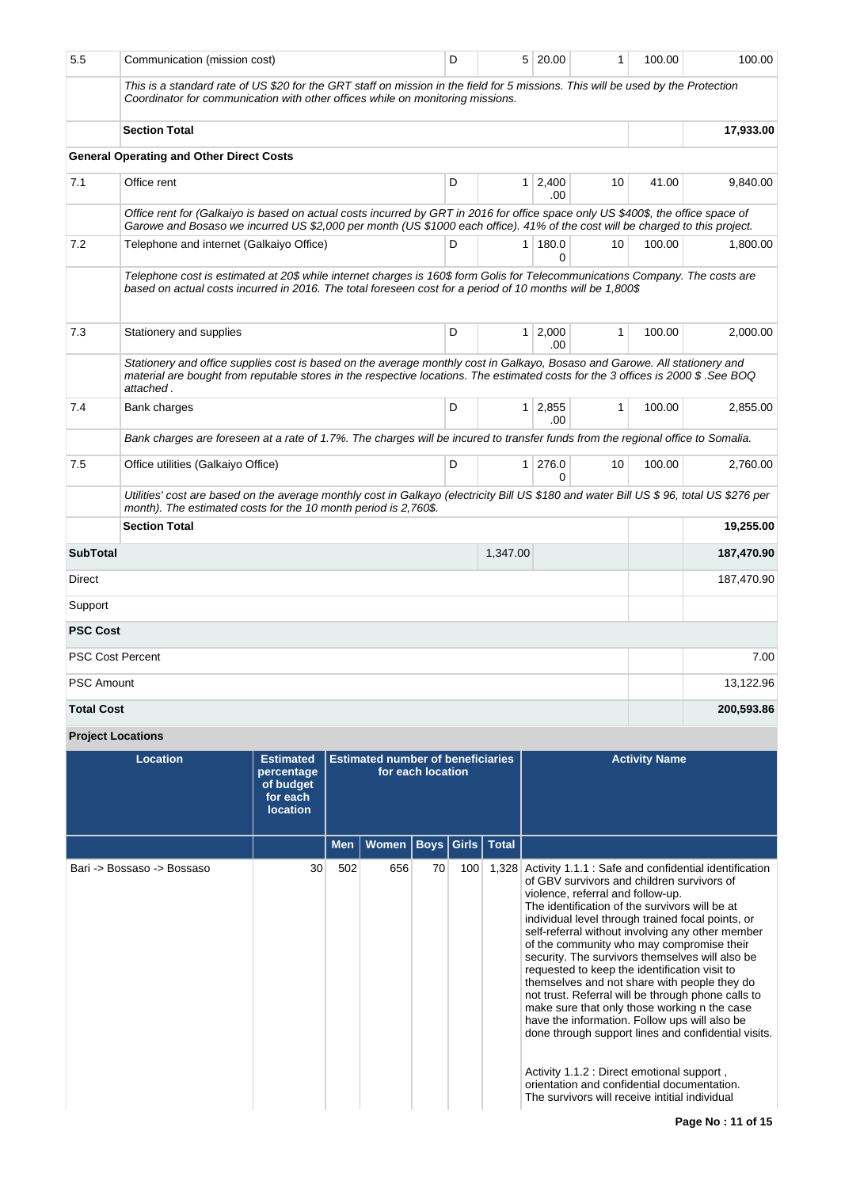| 5.5               | Communication (mission cost)                                                                                                                                                                                                                                                | D |                | 5 20.00                | 1            | 100.00 | 100.00     |
|-------------------|-----------------------------------------------------------------------------------------------------------------------------------------------------------------------------------------------------------------------------------------------------------------------------|---|----------------|------------------------|--------------|--------|------------|
|                   | This is a standard rate of US \$20 for the GRT staff on mission in the field for 5 missions. This will be used by the Protection<br>Coordinator for communication with other offices while on monitoring missions.                                                          |   |                |                        |              |        |            |
|                   | <b>Section Total</b>                                                                                                                                                                                                                                                        |   |                |                        |              |        | 17,933.00  |
|                   | <b>General Operating and Other Direct Costs</b>                                                                                                                                                                                                                             |   |                |                        |              |        |            |
| 7.1               | Office rent                                                                                                                                                                                                                                                                 | D | 1 <sup>1</sup> | 2,400<br>.00           | 10           | 41.00  | 9,840.00   |
|                   | Office rent for (Galkaiyo is based on actual costs incurred by GRT in 2016 for office space only US \$400\$, the office space of<br>Garowe and Bosaso we incurred US \$2,000 per month (US \$1000 each office). 41% of the cost will be charged to this project.            |   |                |                        |              |        |            |
| 7.2               | Telephone and internet (Galkaiyo Office)                                                                                                                                                                                                                                    | D |                | 1   180.0<br>0         | 10           | 100.00 | 1,800.00   |
|                   | Telephone cost is estimated at 20\$ while internet charges is 160\$ form Golis for Telecommunications Company. The costs are<br>based on actual costs incurred in 2016. The total foreseen cost for a period of 10 months will be 1,800\$                                   |   |                |                        |              |        |            |
| 7.3               | Stationery and supplies                                                                                                                                                                                                                                                     | D |                | $1 \quad 2,000$<br>.00 | $\mathbf{1}$ | 100.00 | 2,000.00   |
|                   | Stationery and office supplies cost is based on the average monthly cost in Galkayo, Bosaso and Garowe. All stationery and<br>material are bought from reputable stores in the respective locations. The estimated costs for the 3 offices is 2000 \$.See BOQ<br>attached . |   |                |                        |              |        |            |
| 7.4               | Bank charges                                                                                                                                                                                                                                                                | D |                | $1 \ 2,855$<br>.00     | $\mathbf{1}$ | 100.00 | 2,855.00   |
|                   | Bank charges are foreseen at a rate of 1.7%. The charges will be incured to transfer funds from the regional office to Somalia.                                                                                                                                             |   |                |                        |              |        |            |
| 7.5               | Office utilities (Galkaiyo Office)                                                                                                                                                                                                                                          | D | 1 <sup>1</sup> | 276.0<br>0             | 10           | 100.00 | 2,760.00   |
|                   | Utilities' cost are based on the average monthly cost in Galkayo (electricity Bill US \$180 and water Bill US \$96, total US \$276 per<br>month). The estimated costs for the 10 month period is 2,760\$.                                                                   |   |                |                        |              |        |            |
|                   | <b>Section Total</b>                                                                                                                                                                                                                                                        |   |                |                        |              |        | 19,255.00  |
| <b>SubTotal</b>   |                                                                                                                                                                                                                                                                             |   | 1,347.00       |                        |              |        | 187,470.90 |
| Direct            |                                                                                                                                                                                                                                                                             |   |                |                        |              |        | 187,470.90 |
| Support           |                                                                                                                                                                                                                                                                             |   |                |                        |              |        |            |
| <b>PSC Cost</b>   |                                                                                                                                                                                                                                                                             |   |                |                        |              |        |            |
|                   | <b>PSC Cost Percent</b>                                                                                                                                                                                                                                                     |   |                |                        |              |        | 7.00       |
| <b>PSC Amount</b> |                                                                                                                                                                                                                                                                             |   |                |                        |              |        | 13,122.96  |
| <b>Total Cost</b> |                                                                                                                                                                                                                                                                             |   |                |                        |              |        | 200,593.86 |

# **Project Locations**

| Location                   | <b>Estimated</b><br>percentage<br>of budget<br>for each<br><b>location</b> | <b>Estimated number of beneficiaries</b><br>for each location |       |                         |     |       | <b>Activity Name</b>                                                                                                                                                                                                                                                                                                                                                                                                                                                                                                                                                                                                                                                                                                                                                                                                                                              |
|----------------------------|----------------------------------------------------------------------------|---------------------------------------------------------------|-------|-------------------------|-----|-------|-------------------------------------------------------------------------------------------------------------------------------------------------------------------------------------------------------------------------------------------------------------------------------------------------------------------------------------------------------------------------------------------------------------------------------------------------------------------------------------------------------------------------------------------------------------------------------------------------------------------------------------------------------------------------------------------------------------------------------------------------------------------------------------------------------------------------------------------------------------------|
|                            |                                                                            | <b>Men</b>                                                    | Women | <b>Boys Girls Total</b> |     |       |                                                                                                                                                                                                                                                                                                                                                                                                                                                                                                                                                                                                                                                                                                                                                                                                                                                                   |
| Bari -> Bossaso -> Bossaso | 30                                                                         | 502                                                           | 656   | 70                      | 100 | 1.328 | Activity 1.1.1 : Safe and confidential identification<br>of GBV survivors and children survivors of<br>violence, referral and follow-up.<br>The identification of the survivors will be at<br>individual level through trained focal points, or<br>self-referral without involving any other member<br>of the community who may compromise their<br>security. The survivors themselves will also be<br>requested to keep the identification visit to<br>themselves and not share with people they do<br>not trust. Referral will be through phone calls to<br>make sure that only those working n the case<br>have the information. Follow ups will also be<br>done through support lines and confidential visits.<br>Activity 1.1.2 : Direct emotional support,<br>orientation and confidential documentation.<br>The survivors will receive intitial individual |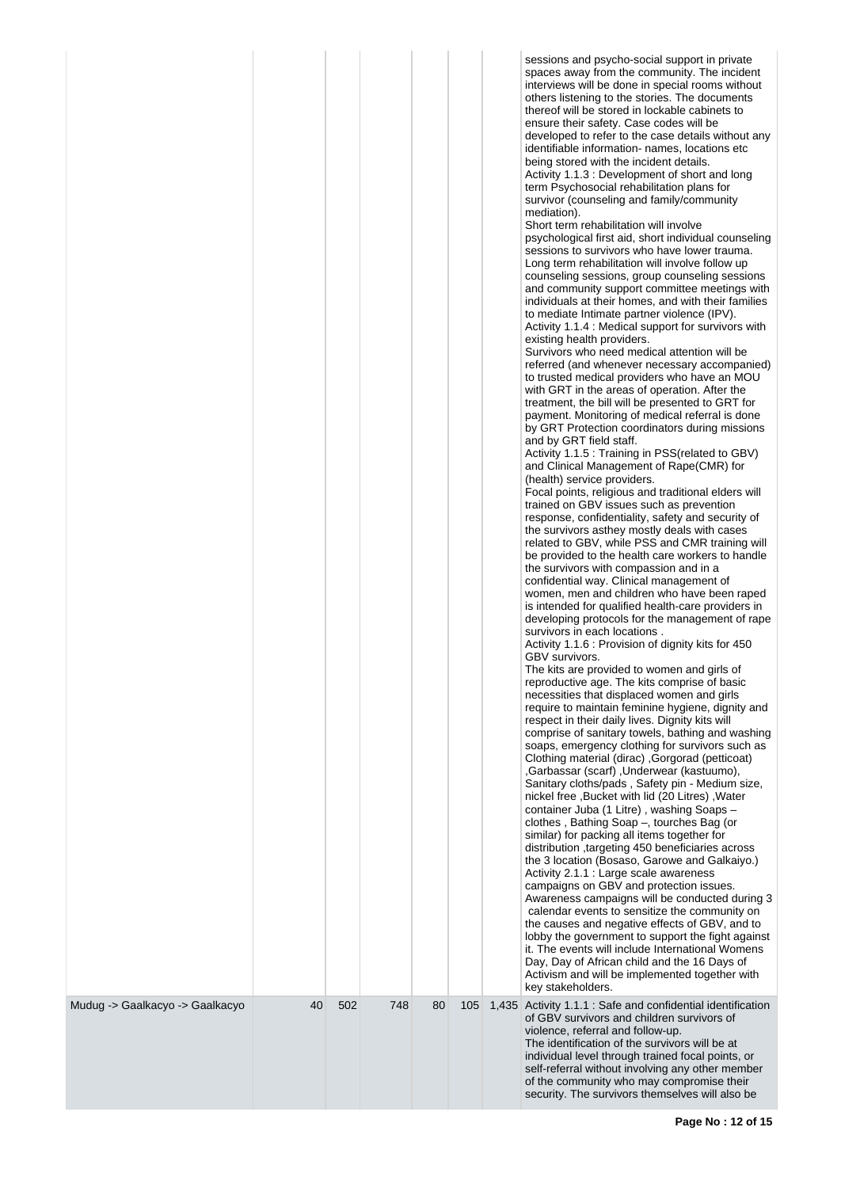| Mudug -> Gaalkacyo -> Gaalkacyo | 40 | 502 | 748 | 80 | 105 | sessions and psycho-social support in private<br>spaces away from the community. The incident<br>interviews will be done in special rooms without<br>others listening to the stories. The documents<br>thereof will be stored in lockable cabinets to<br>ensure their safety. Case codes will be<br>developed to refer to the case details without any<br>identifiable information- names, locations etc<br>being stored with the incident details.<br>Activity 1.1.3 : Development of short and long<br>term Psychosocial rehabilitation plans for<br>survivor (counseling and family/community<br>mediation).<br>Short term rehabilitation will involve<br>psychological first aid, short individual counseling<br>sessions to survivors who have lower trauma.<br>Long term rehabilitation will involve follow up<br>counseling sessions, group counseling sessions<br>and community support committee meetings with<br>individuals at their homes, and with their families<br>to mediate Intimate partner violence (IPV).<br>Activity 1.1.4 : Medical support for survivors with<br>existing health providers.<br>Survivors who need medical attention will be<br>referred (and whenever necessary accompanied)<br>to trusted medical providers who have an MOU<br>with GRT in the areas of operation. After the<br>treatment, the bill will be presented to GRT for<br>payment. Monitoring of medical referral is done<br>by GRT Protection coordinators during missions<br>and by GRT field staff.<br>Activity 1.1.5 : Training in PSS(related to GBV)<br>and Clinical Management of Rape(CMR) for<br>(health) service providers.<br>Focal points, religious and traditional elders will<br>trained on GBV issues such as prevention<br>response, confidentiality, safety and security of<br>the survivors asthey mostly deals with cases<br>related to GBV, while PSS and CMR training will<br>be provided to the health care workers to handle<br>the survivors with compassion and in a<br>confidential way. Clinical management of<br>women, men and children who have been raped<br>is intended for qualified health-care providers in<br>developing protocols for the management of rape<br>survivors in each locations.<br>Activity 1.1.6 : Provision of dignity kits for 450<br>GBV survivors.<br>The kits are provided to women and girls of<br>reproductive age. The kits comprise of basic<br>necessities that displaced women and girls<br>require to maintain feminine hygiene, dignity and<br>respect in their daily lives. Dignity kits will<br>comprise of sanitary towels, bathing and washing<br>soaps, emergency clothing for survivors such as<br>(petticoat) (Gorgorad (petticoat) Clothing material (dirac)<br>,Garbassar (scarf), Underwear (kastuumo),<br>Sanitary cloths/pads, Safety pin - Medium size,<br>nickel free, Bucket with lid (20 Litres), Water<br>container Juba (1 Litre), washing Soaps -<br>clothes, Bathing Soap -, tourches Bag (or<br>similar) for packing all items together for<br>distribution, targeting 450 beneficiaries across<br>the 3 location (Bosaso, Garowe and Galkaiyo.)<br>Activity 2.1.1 : Large scale awareness<br>campaigns on GBV and protection issues.<br>Awareness campaigns will be conducted during 3<br>calendar events to sensitize the community on<br>the causes and negative effects of GBV, and to<br>lobby the government to support the fight against<br>it. The events will include International Womens<br>Day, Day of African child and the 16 Days of<br>Activism and will be implemented together with<br>key stakeholders.<br>1,435 Activity 1.1.1 : Safe and confidential identification |
|---------------------------------|----|-----|-----|----|-----|-----------------------------------------------------------------------------------------------------------------------------------------------------------------------------------------------------------------------------------------------------------------------------------------------------------------------------------------------------------------------------------------------------------------------------------------------------------------------------------------------------------------------------------------------------------------------------------------------------------------------------------------------------------------------------------------------------------------------------------------------------------------------------------------------------------------------------------------------------------------------------------------------------------------------------------------------------------------------------------------------------------------------------------------------------------------------------------------------------------------------------------------------------------------------------------------------------------------------------------------------------------------------------------------------------------------------------------------------------------------------------------------------------------------------------------------------------------------------------------------------------------------------------------------------------------------------------------------------------------------------------------------------------------------------------------------------------------------------------------------------------------------------------------------------------------------------------------------------------------------------------------------------------------------------------------------------------------------------------------------------------------------------------------------------------------------------------------------------------------------------------------------------------------------------------------------------------------------------------------------------------------------------------------------------------------------------------------------------------------------------------------------------------------------------------------------------------------------------------------------------------------------------------------------------------------------------------------------------------------------------------------------------------------------------------------------------------------------------------------------------------------------------------------------------------------------------------------------------------------------------------------------------------------------------------------------------------------------------------------------------------------------------------------------------------------------------------------------------------------------------------------------------------------------------------------------------------------------------------------------------------------------------------------------------------------------------------------------------------------------------------------------------------------------------------------------------------------------------------------------------------------------------------------------------------------------------------------------------------------------------------------------------------------------------------------|
|                                 |    |     |     |    |     | of GBV survivors and children survivors of<br>violence, referral and follow-up.<br>The identification of the survivors will be at<br>individual level through trained focal points, or<br>self-referral without involving any other member<br>of the community who may compromise their<br>security. The survivors themselves will also be                                                                                                                                                                                                                                                                                                                                                                                                                                                                                                                                                                                                                                                                                                                                                                                                                                                                                                                                                                                                                                                                                                                                                                                                                                                                                                                                                                                                                                                                                                                                                                                                                                                                                                                                                                                                                                                                                                                                                                                                                                                                                                                                                                                                                                                                                                                                                                                                                                                                                                                                                                                                                                                                                                                                                                                                                                                                                                                                                                                                                                                                                                                                                                                                                                                                                                                                        |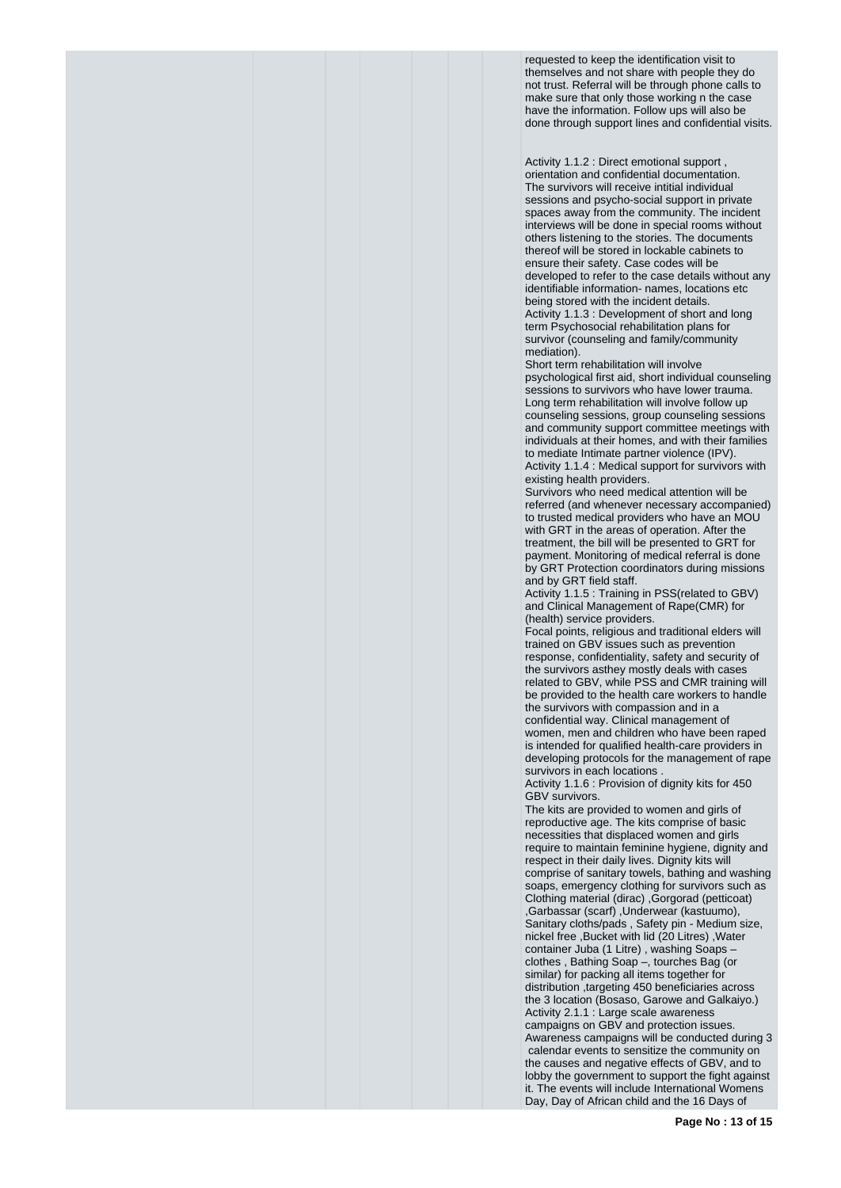requested to keep the identification visit to themselves and not share with people they do not trust. Referral will be through phone calls to make sure that only those working n the case have the information. Follow ups will also be done through support lines and confidential visits.

Activity 1.1.2 : Direct emotional support , orientation and confidential documentation. The survivors will receive intitial individual sessions and psycho-social support in private spaces away from the community. The incident interviews will be done in special rooms without others listening to the stories. The documents thereof will be stored in lockable cabinets to ensure their safety. Case codes will be developed to refer to the case details without any identifiable information- names, locations etc being stored with the incident details. Activity 1.1.3 : Development of short and long term Psychosocial rehabilitation plans for survivor (counseling and family/community mediation).

Short term rehabilitation will involve psychological first aid, short individual counseling sessions to survivors who have lower trauma. Long term rehabilitation will involve follow up counseling sessions, group counseling sessions and community support committee meetings with individuals at their homes, and with their families to mediate Intimate partner violence (IPV). Activity 1.1.4 : Medical support for survivors with existing health providers.

Survivors who need medical attention will be referred (and whenever necessary accompanied) to trusted medical providers who have an MOU with GRT in the areas of operation. After the treatment, the bill will be presented to GRT for payment. Monitoring of medical referral is done by GRT Protection coordinators during missions and by GRT field staff.

Activity 1.1.5 : Training in PSS(related to GBV) and Clinical Management of Rape(CMR) for (health) service providers.

Focal points, religious and traditional elders will trained on GBV issues such as prevention response, confidentiality, safety and security of the survivors asthey mostly deals with cases related to GBV, while PSS and CMR training will be provided to the health care workers to handle the survivors with compassion and in a confidential way. Clinical management of women, men and children who have been raped is intended for qualified health-care providers in developing protocols for the management of rape survivors in each locations

Activity 1.1.6 : Provision of dignity kits for 450 GBV survivors.

The kits are provided to women and girls of reproductive age. The kits comprise of basic necessities that displaced women and girls require to maintain feminine hygiene, dignity and respect in their daily lives. Dignity kits will comprise of sanitary towels, bathing and washing soaps, emergency clothing for survivors such as Clothing material (dirac) ,Gorgorad (petticoat) ,Garbassar (scarf) ,Underwear (kastuumo), Sanitary cloths/pads , Safety pin - Medium size, nickel free ,Bucket with lid (20 Litres) ,Water container Juba (1 Litre) , washing Soaps – clothes , Bathing Soap –, tourches Bag (or similar) for packing all items together for distribution ,targeting 450 beneficiaries across the 3 location (Bosaso, Garowe and Galkaiyo.) Activity 2.1.1 : Large scale awareness campaigns on GBV and protection issues. Awareness campaigns will be conducted during 3 calendar events to sensitize the community on the causes and negative effects of GBV, and to lobby the government to support the fight against it. The events will include International Womens Day, Day of African child and the 16 Days of

**Page No : 13 of 15**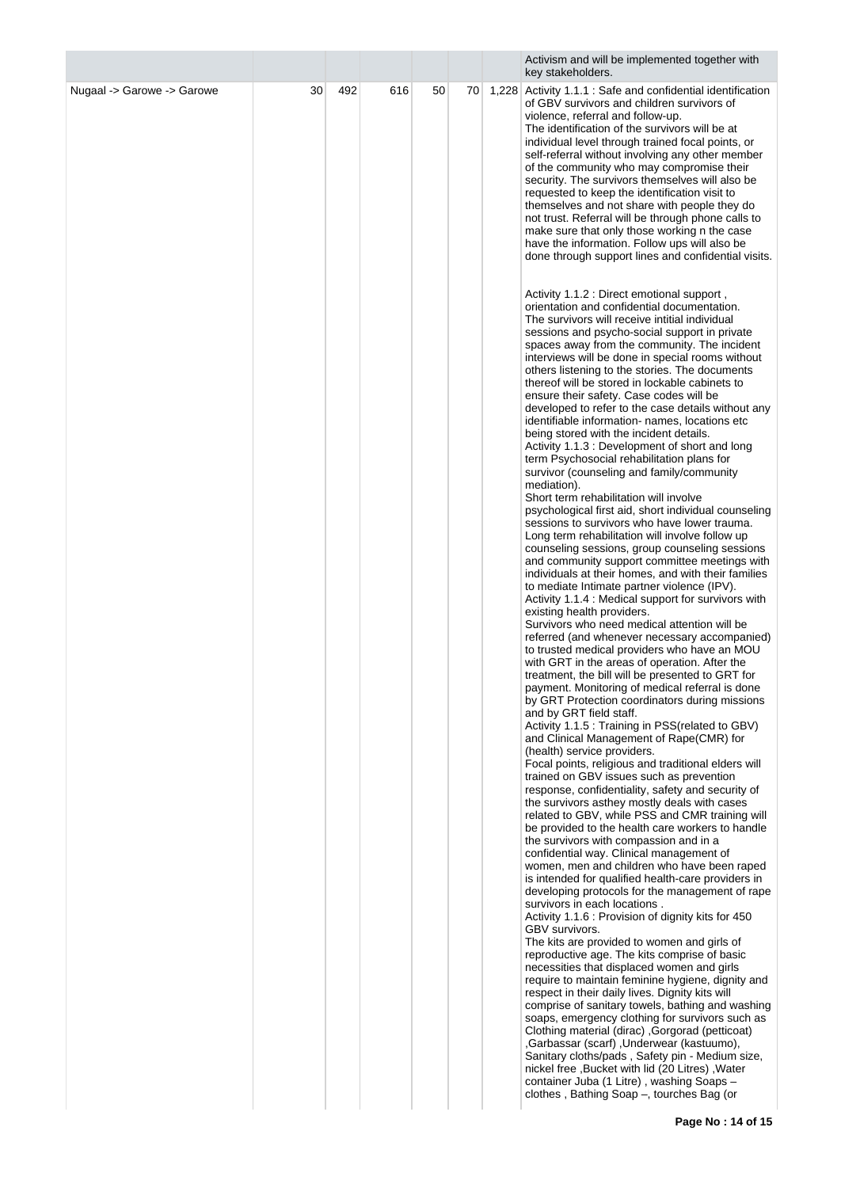|                            |    |     |     |    |    |       | Activism and will be implemented together with<br>key stakeholders.                                                                                                                                                                                                                                                                                                                                                                                                                                                                                                                                                                                                                                                                                                                                                                                                                                                                                                                                                                                                                                                                                                                                                                                                                                                                                                                                                                                                                                                                                                                                                                                                                                                                                                                                                                                                                                                                                                                                                                                                                                                                                                                                                                                                                                                                                                                                                                                            |
|----------------------------|----|-----|-----|----|----|-------|----------------------------------------------------------------------------------------------------------------------------------------------------------------------------------------------------------------------------------------------------------------------------------------------------------------------------------------------------------------------------------------------------------------------------------------------------------------------------------------------------------------------------------------------------------------------------------------------------------------------------------------------------------------------------------------------------------------------------------------------------------------------------------------------------------------------------------------------------------------------------------------------------------------------------------------------------------------------------------------------------------------------------------------------------------------------------------------------------------------------------------------------------------------------------------------------------------------------------------------------------------------------------------------------------------------------------------------------------------------------------------------------------------------------------------------------------------------------------------------------------------------------------------------------------------------------------------------------------------------------------------------------------------------------------------------------------------------------------------------------------------------------------------------------------------------------------------------------------------------------------------------------------------------------------------------------------------------------------------------------------------------------------------------------------------------------------------------------------------------------------------------------------------------------------------------------------------------------------------------------------------------------------------------------------------------------------------------------------------------------------------------------------------------------------------------------------------------|
| Nugaal -> Garowe -> Garowe | 30 | 492 | 616 | 50 | 70 | 1,228 | Activity 1.1.1 : Safe and confidential identification<br>of GBV survivors and children survivors of<br>violence, referral and follow-up.<br>The identification of the survivors will be at<br>individual level through trained focal points, or<br>self-referral without involving any other member<br>of the community who may compromise their<br>security. The survivors themselves will also be<br>requested to keep the identification visit to<br>themselves and not share with people they do<br>not trust. Referral will be through phone calls to<br>make sure that only those working n the case<br>have the information. Follow ups will also be<br>done through support lines and confidential visits.<br>Activity 1.1.2 : Direct emotional support,<br>orientation and confidential documentation.                                                                                                                                                                                                                                                                                                                                                                                                                                                                                                                                                                                                                                                                                                                                                                                                                                                                                                                                                                                                                                                                                                                                                                                                                                                                                                                                                                                                                                                                                                                                                                                                                                                |
|                            |    |     |     |    |    |       | The survivors will receive intitial individual<br>sessions and psycho-social support in private<br>spaces away from the community. The incident<br>interviews will be done in special rooms without<br>others listening to the stories. The documents<br>thereof will be stored in lockable cabinets to<br>ensure their safety. Case codes will be<br>developed to refer to the case details without any<br>identifiable information- names, locations etc<br>being stored with the incident details.<br>Activity 1.1.3 : Development of short and long<br>term Psychosocial rehabilitation plans for<br>survivor (counseling and family/community<br>mediation).<br>Short term rehabilitation will involve<br>psychological first aid, short individual counseling<br>sessions to survivors who have lower trauma.<br>Long term rehabilitation will involve follow up<br>counseling sessions, group counseling sessions<br>and community support committee meetings with<br>individuals at their homes, and with their families<br>to mediate Intimate partner violence (IPV).<br>Activity 1.1.4 : Medical support for survivors with<br>existing health providers.<br>Survivors who need medical attention will be<br>referred (and whenever necessary accompanied)<br>to trusted medical providers who have an MOU<br>with GRT in the areas of operation. After the<br>treatment, the bill will be presented to GRT for<br>payment. Monitoring of medical referral is done<br>by GRT Protection coordinators during missions<br>and by GRT field staff.<br>Activity 1.1.5 : Training in PSS (related to GBV)<br>and Clinical Management of Rape(CMR) for<br>(health) service providers.<br>Focal points, religious and traditional elders will<br>trained on GBV issues such as prevention<br>response, confidentiality, safety and security of<br>the survivors asthey mostly deals with cases<br>related to GBV, while PSS and CMR training will<br>be provided to the health care workers to handle<br>the survivors with compassion and in a<br>confidential way. Clinical management of<br>women, men and children who have been raped<br>is intended for qualified health-care providers in<br>developing protocols for the management of rape<br>survivors in each locations.<br>Activity 1.1.6 : Provision of dignity kits for 450<br>GBV survivors.<br>The kits are provided to women and girls of<br>reproductive age. The kits comprise of basic |
|                            |    |     |     |    |    |       | necessities that displaced women and girls<br>require to maintain feminine hygiene, dignity and<br>respect in their daily lives. Dignity kits will<br>comprise of sanitary towels, bathing and washing<br>soaps, emergency clothing for survivors such as<br>Clothing material (dirac), Gorgorad (petticoat)<br>,Garbassar (scarf), Underwear (kastuumo),<br>Sanitary cloths/pads, Safety pin - Medium size,<br>nickel free, Bucket with lid (20 Litres), Water<br>container Juba (1 Litre), washing Soaps-<br>clothes, Bathing Soap -, tourches Bag (or                                                                                                                                                                                                                                                                                                                                                                                                                                                                                                                                                                                                                                                                                                                                                                                                                                                                                                                                                                                                                                                                                                                                                                                                                                                                                                                                                                                                                                                                                                                                                                                                                                                                                                                                                                                                                                                                                                       |